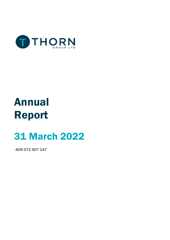

# Annual Report

# 31 March 2022

ACN 072 507 147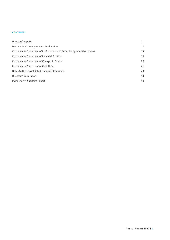## **CONTENTS**

| Directors' Report                                                       |    |
|-------------------------------------------------------------------------|----|
| Lead Auditor's Independence Declaration                                 | 17 |
| Consolidated Statement of Profit or Loss and Other Comprehensive Income | 18 |
| <b>Consolidated Statement of Financial Position</b>                     | 19 |
| Consolidated Statement of Changes in Equity                             | 20 |
| <b>Consolidated Statement of Cash Flows</b>                             | 21 |
| Notes to the Consolidated Financial Statements                          | 23 |
| Directors' Declaration                                                  | 53 |
| Independent Auditor's Report                                            | 54 |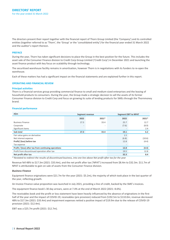<span id="page-2-0"></span>The directors present their report together with the financial report of Thorn Group Limited (the 'Company') and its controlled entities (together referred to as 'Thorn', the 'Group' or the 'consolidated entity') for the financial year ended 31 March 2022 and the auditor's report thereon.

## **PREFACE**

During the year, Thorn has taken significant decisions to place the Group in the best position for the future. This includes the asset sale of the Consumer Finance division to Credit Corp Group Limited ('Credit Corp') in December 2021 and launching the asset finance product with key focus on scalability through technology.

The securitised warehouse facility remains in amortisation, however Thorn is in negotiations with its funders to re-open the warehouse.

Each of these matters has had a significant impact on the financial statements and are explained further in this report.

#### **OPERATING AND FINANCIAL REVIEW**

#### **Principal activities**

Thorn is a financial services group providing commercial finance to small and medium-sized enterprises and the leasing of household products to consumers. During the year, the Group made a strategic decision to sell the assets of its former Consumer Finance division to Credit Corp and focus on growing its suite of lending products for SMEs through the Thornmoney brand.

#### **Financial performance**

| A\$m                                                 | Segment revenue          |                          |       | <b>Segment EBIT to NPAT</b> |
|------------------------------------------------------|--------------------------|--------------------------|-------|-----------------------------|
|                                                      | 2022                     | 2021*                    | 2022  | 2021*                       |
| <b>Business Finance</b>                              | 17.3                     | 33.4                     | 25.7  | 12.7                        |
| Corporate                                            | $\overline{\phantom{a}}$ | $\overline{\phantom{a}}$ | (7.6) | (8.9)                       |
| Significant items                                    |                          |                          |       | 2.4                         |
| Sub-total                                            | 17.3                     | 33.4                     | 19.1  | 6.2                         |
| Fair value gains on derivative                       |                          |                          | 1.5   |                             |
| Net interest expense                                 |                          |                          | (6.8) | (10.6)                      |
| Profit/ (loss) before tax                            |                          |                          | 12.8  | (4.4)                       |
| Tax expense                                          |                          |                          |       |                             |
| Profit / (loss) after tax from continuing operations | 12.8                     | (4.4)                    |       |                             |
| Profit from discontinued operation after tax         | 19.5                     | 12.8                     |       |                             |
| Net profit after tax                                 |                          |                          | 32.3  | 8.4                         |

*\* Restated to redirect the results of discontinued business, into one line above Net profit after tax for the year*

Revenue fell 48% to \$17.3m (2021: \$33.4m), and the net profit after tax ('NPAT') increased from \$8.4m to \$32.3m. \$11.7m of NPAT is attributable to gain on sale of assets from the Consumer Finance division.

#### *Business Finance*

Equipment finance originations were \$21.7m for the year (2021: \$5.2m), the majority of which took place in the last quarter of the year, reflecting growth.

An Invoice Finance value proposition was launched in July 2021, providing a line of credit, backed by the SME's invoices.

The equipment finance book's 30 day arrears, were at 7.4% at the end of March 2022 (2021: 8.6%).

The receivables book and the profit or loss statement have been heavily influenced by the absence of originations in the first half of the year and the impact of COVID-19; receivables (pre provision) reduced from \$192.5m to \$110.0m; revenue decreased 48% to \$17.3m (2021: \$33.4m) and impairment expenses netted a positive impact of \$19.9m due to the release of COVID-19 provision (2021: \$12.4m).

EBIT was a \$25.7m profit (2021: \$12.7m).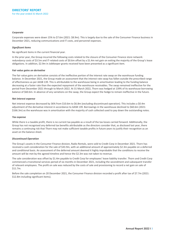## *Corporate*

Corporate expenses were down 15% to \$7.6m (2021: \$8.9m). This is largely due to the sale of the Consumer Finance business in December 2021, reducing communications and IT costs, and personnel expenses.

## *Significant items*

No significant items in the current financial year.

In the prior year, the Group incurred the following costs related to the closure of the Consumer Finance store network: redundancy costs of \$3.5m and IT-related costs of \$0.6m offset by a \$1.4m net gain on exiting the majority of the Group's lease obligations. In addition, \$2.9m in JobKeeper grants received have been presented as a significant item.

## *Fair value gains on derivative*

The fair value gains on derivative consists of the ineffective portion of the interest rate swap on the warehouse funding balance. In December 2021, the Group made an assessment that the interest rate swap has fallen outside the prescribed range of effectiveness as per AASB 139. This is attributable to the warehouse being in amortisation leading to the funding balance decreasing at a faster rate than the expected repayment of the warehouse receivables. The swap remained ineffective for the period from December 2021 through to March 2022. At 31 March 2022, Thorn was hedged at 139% of its warehouse borrowing balance of \$60.6m. In absence of any variations on the swap, the Group expect the hedge to remain ineffective in the future.

## *Net interest expense*

Net interest expense decreased by 36% from \$10.6m to \$6.8m (excluding discontinued operation). This includes a \$0.4m adjustment of the derivative interest in accordance to AASB 139. Borrowings in the warehouse declined to \$60.6m (2021: \$166.3m) as the warehouse was in amortisation with the majority of cash collected used to pay down the outstanding notes.

## *Tax expense*

While there is a taxable profit, there is no current tax payable as a result of the tax losses carried forward. Additionally, the Group has not recognised any deferred tax benefits attributable as the directors consider that, as disclosed last year, there remains a continuing risk that Thorn may not make sufficient taxable profits in future years to justify their recognition as an asset on the balance sheet.

## *Discontinued Operation*

The Group's assets in the Consumer Finance division, Radio Rentals, were sold to Credit Corp in December 2021. Thorn has received a cash consideration for the sale of \$43.9m, with an additional amount of approximately \$2.3m payable on a deferred and conditional basis. An assessment of the deferred amount deemed it highly improbable that the conditions to receive the amount will be met by the agreed timeline and hence the \$2.3m was not taken to revenue.

The sale consideration was offset by \$1.4m payable to Credit Corp for employees' leave liability transfer. Thorn and Credit Corp commenced a transitional services period of six months in December 2021, including the secondment and subsequent transfer of relevant employees. The profit on sale was reduced by the costs of sale and provisioning to record a net gain on sale of \$11.7m.

Before the sale completion on 20 December 2021, the Consumer Finance division recorded a profit after tax of \$7.7m (2021: \$12.8m including significant items).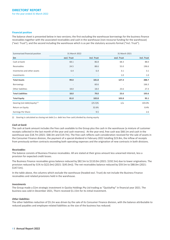## **Financial position**

The balance sheet is presented below in two versions; the first excluding the warehouse borrowings for the business finance receivables together with the associated receivables and cash in the warehouse (non-recourse funding for the warehouse) ("excl. Trust"), and the second including the warehouse which is as per the statutory accounts format ("incl. Trust").

| Summarised financial position | 31 March 2022            |             | 31 March 2021 |             |
|-------------------------------|--------------------------|-------------|---------------|-------------|
| \$m                           | excl. Trust              | incl. Trust | excl. Trust   | incl. Trust |
| Cash at bank                  | 68.1                     | 86.8        | 68.3          | 88.0        |
| Receivables                   | 24.5                     | 88.6        | 55.0          | 196.6       |
| Inventories and other assets  | 6.4                      | 6.4         | 3.1           | 3.1         |
| Investments                   | $\overline{\phantom{a}}$ |             | 1.0           | 1.0         |
| <b>Total Assets</b>           | 99.0                     | 181.8       | 127.4         | 288.7       |
| <b>Borrowings</b>             |                          | 60.6        |               | 166.3       |
| Other liabilities             | 18.0                     | 18.4        | 23.6          | 27.3        |
| <b>Total Liabilities</b>      | 18.0                     | 79.0        | 23.6          | 193.6       |
| <b>Total Equity</b>           | 81.0                     | 102.8       | 103.8         | 95.1        |
| Gearing (net debt/equity) (i) |                          | $(25.5)\%$  | n/a           | 103.0%      |
| Return on Equity              |                          | 32.6%       |               | 8.4%        |
| <b>Earnings Per Share</b>     |                          | 9.5         |               | 2.6         |

(i) Gearing is calculated as closing net debt (i.e. debt less free cash) divided by closing equity

#### *Cash at bank*

The cash at bank amount includes the free cash available to the Group plus the cash in the warehouse (a mixture of customer receipts collected in the last month of the year and cash reserves). At the year-end, free cash was \$68.1m and cash in the warehouse was \$18.7m (2021: \$68.3m and \$19.7m). The free cash reflects cash consideration received for the sale of assets in the Consumer Finance division, the payment of a special dividend in February 2022 totalling \$23.8m, the inflow of receipts from previously written contracts exceeding both operating expenses and the origination of new contracts in both divisions.

## *Receivables*

The balance consists of Business Finance receivables. All are stated at their gross amount less unearned interest, less a provision for expected credit losses.

The Business Finance receivables gross balance reduced by \$82.5m to \$110.0m (2021: \$192.5m) due to lower originations. The provision reduced by 51% to \$(22.0m) (2021: \$(45.0m)). The net receivables balance reduced by \$59.5m to \$88.0m (2021: \$147.5m).

In the table above, the columns which exclude the warehouse (headed excl. Trust) do not include the Business Finance receivables and related provisions held in the warehouse.

## *Investments*

The Group made a \$1m strategic investment in Quicka Holdings Pty Ltd trading as "QuickaPay" in financial year 2021. The business was sold in December 2021, Thorn received \$1.15m for its initial investment.

## *Other liabilities*

The other liabilities reduction of \$5.2m was driven by the sale of its Consumer Finance division, with the balance attributable to reduced payables and employee-related liabilities as the size of the business has reduced.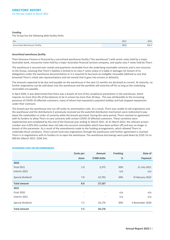## *Funding*

The Group has the following debt facility limits:

| -Sm                            | ZUZZ | 2021  |
|--------------------------------|------|-------|
| Securitised Warehouse Facility | 5U.G | 166.3 |

## *Securitised warehouse facility*

Thorn Business Finance is financed by a securitised warehouse facility ("the warehouse") with senior notes held by a major Australian bank, mezzanine notes held by a major Australian financial services company, and equity class F notes held by Thorn.

The warehouse is secured over rentals and payments receivable from the underlying receivable contracts and is non-recourse to the Group, meaning that Thorn's liability is limited to its class F notes unless it is liable in damages for breach of its delegations under the warehouse documentation or it is required to buy back an ineligible receivable (defined as one that breached Thorn's initial sale representations and not merely that it goes into arrears or defaults).

The amounts expected to be due and payable on the warehouse in the next 12 months are disclosed as current. At maturity, no further originations can be sold down into the warehouse and the portfolio will amortise off for as long as the underlying receivables are payable.

In April 2020, it was determined that there was a breach of one of the compliance parameters in the warehouse, which requires no more than 6% of the balances to be in arrears by more than 30 days. This was attributable to the increasing presence of COVID-19 affected customers, many of whom had requested a payment holiday and had stopped repayments under their contracts.

This breach put the warehouse into run-off under its amortisation rules. As a result, Thorn was unable to sell originations into the warehouse and the distributions it previously received via the waterfall distribution mechanism were redirected to pay down the noteholders in order of seniority while the breach persisted. During the same period, Thorn reached an agreement with its funders to allow Thorn to vary contracts with certain COVID-19 affected customers. These variations were implemented and completed by the end of the financial year ending 31 March 2021. At 31 March 2022, the relevant arrears number was 4.02% (this number does not take into account receivables which have been written off) and was no longer in breach of this parameter. As a result of the amendments made to the funding arrangements, which allowed Thorn to undertake those variations, Thorn cannot fund new originations through the warehouse until further agreement is reached. Thorn is in negotiations with its funders to re-open the warehouse. The warehouse borrowings were paid down by \$105.7m to \$60.6m (March 2021: \$166.3m).

|                     | Cents per                | Amount                   | <b>Franking</b> | Date of         |
|---------------------|--------------------------|--------------------------|-----------------|-----------------|
|                     | share                    | <b>\$'000 AUDs</b>       | %               | Payment         |
| 2022                |                          |                          |                 |                 |
| <b>Final 2021</b>   | 1.0                      | 3,375                    | 30%             | 21 July 2021    |
| Interim 2022        | $\overline{\phantom{a}}$ | $\overline{\phantom{a}}$ | n/a             | n/a             |
| Special dividend    | 7.0                      | 23,792                   | 30%             | 9 February 2022 |
| <b>Total amount</b> | 8.0                      | 27,167                   |                 |                 |
| 2021                |                          |                          |                 |                 |
| <b>Final 2020</b>   | $\overline{\phantom{a}}$ | $\overline{\phantom{a}}$ | n/a             | n/a             |
| Interim 2021        | $\overline{\phantom{a}}$ | $\overline{\phantom{a}}$ | n/a             | n/a             |
| Special dividend    | 7.5                      | 24,176                   | 30%             | 3 November 2020 |
| <b>Total amount</b> | 7.5                      | 24,176                   |                 |                 |

## **DIVIDENDS PAID OR RECOMMENDED**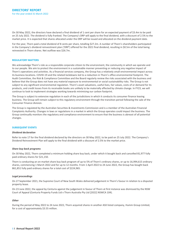On 30 May 2022, the directors have declared a final dividend of 1 cent per share for an expected payment of \$3.4m to be paid on 25 July 2022. The dividend is fully franked. The Company's DRP will apply to the final dividend, with a discount of 2.5% to the market price. It is expected that shares allocated under the DRP will be issued and allocated on the dividend payment date.

For the year, Thorn paid a total dividend of 8 cents per share, totalling \$27.2m. A number of Thorn's shareholders participated in the Company's dividend reinvestment plan ('DRP') offered for the 2021 final dividend, resulting in \$0.5m of the total being reinvested in Thorn shares. Net outflow was \$26.7m.

## **REGULATORY MATTERS**

We acknowledge Thorn's role as a responsible corporate citizen to the environment, the community in which we operate and to our people. We aim to protect the environment in a sustainable manner preventing or reducing any negative impact of Thorn's operations and activities. As a financial services company, the Group has a relatively small environmental impact across its business locations. COVID-19 and the related lockdowns led to a reduction in Thorn's office environmental footprint. The Audit Committee, the Risk & Compliance Committee and the Board regularly review the risks associated with the business and believe that the Group does not have any material exposure to environmental or social sustainability risks. The Group is not subject to any significant environmental regulation. Thorn's asset valuations, useful lives, fair values, costs of or demand for its products, and credit losses from its receivable books are unlikely to be materially affected by climate change. In FY23, we will continue to look to implement strategies working towards minimising our carbon footprint.

The Group is subject to extensive regulation in each of the jurisdictions in which it conducts its consumer finance leasing business. The Group will remain subject to this regulatory environment through the transition period following the sale of the Consumer Finance division.

The Group is regulated by the Australian Securities & Investments Commission and is a member of the Australian Financial Complaints Authority. Changes in laws or regulations in a market in which the Group operates could impact the business. The Group continually monitors the regulatory and compliance environment to ensure that the business is abreast of all potential changes.

## **SUBSEQUENT EVENTS**

## *Dividend declaration*

Refer to note 17 for the final dividend declared by the directors on 30 May 2022, to be paid on 25 July 2022. The Company's Dividend Reinvestment Plan will apply to the final dividend with a discount of 2.5% to the market price.

## *Share buy back programs*

On 30 May 2022, Thorn completed a minimum holding share buy back, under which it bought back and cancelled 81,977 fully paid ordinary shares for \$21,150.

Thorn is conducting an on-market share buy back program of up to 5% of Thorn's ordinary shares, or up to 16,994,615 ordinary shares, commencing 1 March 2022 and for up to 12 months. From 1 April 2022 to 24 June 2022, the Group has bought back 861,851 fully paid ordinary shares for a total cost of \$224,965.

## *Legal proceedings*

On 27 September 2021, the Supreme Court of New South Wales delivered judgement in Thorn's favour in relation to a disputed property lease.

On 23 June 2022, the appeal by Centuria against the judgement in favour of Thorn at first instance was dismissed by the NSW Court of Appeal (Centuria Property Funds Ltd v Thorn Australia Pty Ltd [2022] NSWCA 104).

## *Other*

During the period of May 2022 to 24 June 2022, Thorn acquired shares in another ASX listed company, Humm Group Limited, for a cost of approximately \$3.55 million.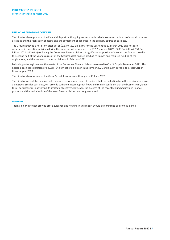## **FINANCING AND GOING CONCERN**

The directors have prepared the Financial Report on the going concern basis, which assumes continuity of normal business activities and the realisation of assets and the settlement of liabilities in the ordinary course of business.

The Group achieved a net profit after tax of \$32.3m (2021: \$8.4m) for the year ended 31 March 2022 and net cash generated in operating activities during the same period amounted to a \$87.7m inflow (2021: \$209.9m inflow), \$54.0m inflow (2021: \$119.0m) excluding the Consumer Finance division. A significant proportion of the cash outflow occurred in the second half of the year as a result of the Group's asset finance product re-launch and required funding of the originations, and the payment of special dividend in February 2022.

Following a strategic review, the assets of the Consumer Finance division were sold to Credit Corp in December 2021. This netted a cash consideration of \$42.5m, \$43.9m satisfied in cash in December 2021 and \$1.4m payable to Credit Corp in financial year 2023.

The directors have reviewed the Group's cash flow forecast through to 30 June 2023.

The directors are of the opinion that there are reasonable grounds to believe that the collection from the receivables books alongside a smaller cost base, will provide sufficient incoming cash flows and remain confident that the business will, longer term, be successful in achieving its strategic objectives. However, the success of the recently launched invoice finance product and the revitalisation of the asset finance division are not guaranteed.

## **OUTLOOK**

Thorn's policy is to not provide profit guidance and nothing in this report should be construed as profit guidance.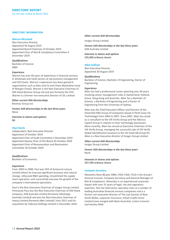## **DIRECTORS' INFORMATION**

## *Warren McLeland*

Non-Executive Director Appointed 30 August 2019 Appointed Board Chairman 23 October 2019 Appointed Chair of Risk & Compliance Committee 4 December 2019

*Qualifications* Bachelor of Science **MBA** 

## *Experience*

Warren has over 40 years of experience in financial services in wholesale and retail sectors at top business management and CEO levels. Warren's experience has been gained in organisations such as Bain and Co and Chase Manhattan (now JP Morgan Chase). Warren is the Non-Executive Chairman of ASX listed Resimac Group Ltd and was formerly the CEO. Warren is a former non-executive director of UIL Limited.

**Other current ASX directorships** Resimac Group Ltd

*Former ASX directorships in the last three years* None

*Interests in shares and options* Nil

## *Paul Oneile*

Independent, Non-Executive Director Appointed 14 October 2019 Appointed Chair of Audit Committee 4 December 2019 Appointed Deputy Chair of the Board 20 October 2020 Appointed Chair of Remuneration and Nomination Committee 20 October 2020

#### *Qualifications*

Bachelor of Economics

## *Experience*

From 2003 to 2008, Paul was CEO of Aristocrat Leisure Limited where he oversaw significant business and cultural change, refocused R&D spending, streamlined the supply chain operation, and successfully oversaw the growth of the company's international operations.

Paul is the Non-Executive Chairman of Invigor Group Limited. Previously Paul was the Non-Executive Chairman of ASX listed company, A2B Australia Limited (formerly Cabcharge Australia Limited) and was the Non-Executive Chairman of Intecq Limited (formerly eBet Limited), from 2012 until its acquisition by Tabcorp Holdings Limited in December 2016.

## *Other current ASX directorships*

Invigor Group Limited

*Former ASX directorships in the last three years* A2B Australia Limited

## *Interests in shares and options* 235,000 ordinary shares

## *Allan Sullivan*

Non-Executive Director Appointed 30 August 2019

## *Qualifications*

Bachelor of Science, Bachelor of Engineering, Doctor of Engineering

## *Experience*

Allan has had a professional career spanning over 40 years involving senior management roles in Switzerland, Holland, Korea, Hong Kong and Australia. Allan has a Bachelor of Science, a Bachelor of Engineering and a Doctor of Engineering from the University of Sydney.

Allan was the Chief Executive Officer and Director of the listed ASX-ERG Group of Companies based in Perth (now Vix Technology) from 2004 to 2007. Since 2007, Allan has acted as a consultant to the VIX Verify Group and the Allectus Capital Group in relation to their technology businesses. More recently, Allan has served as Executive Chairman of the VIX Verify Group, managing the successful sale of VIX Verify Global Identification business to the UK listed GB Group Plc. Allan is a Non-Executive director of Invigor Group Limited.

## *Other current ASX directorships* Invigor Group Limited

*Former ASX directorships in the last three years* None

**Interests in shares and options** 247,540 ordinary shares

## *Company Secretary*

Alexandra Rose (BLaws, MBA, FAID, FGIA, FCIS) is the Group's General Counsel, Company Secretary and General Manager of Risk & Compliance. Alexandra is an experienced corporate lawyer with over 25 years of legal, risk and regulatory expertise. She has held senior executive roles at a number of leading Australian financial services companies and is a former non-executive director of The Law Society of New South Wales, Lawcover Insurance, Intech Credit Union Limited (now merged with Bank Australia), Justice Connect and Hockey NSW.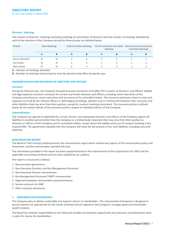## **Directors' Meetings**

The number of directors' meetings (including meetings of committees of directors) and the number of meetings attended by each of the directors of the Company during the financial year are detailed below.

| Director        |    | <b>Board Meetings</b> | <b>Audit Committee Meetings</b> |   | Risk & Compliance Committee Remuneration & Nomination<br><b>Meetings</b> |   | <b>Committee Meetings</b> |   |
|-----------------|----|-----------------------|---------------------------------|---|--------------------------------------------------------------------------|---|---------------------------|---|
|                 | A  | в                     | A                               | в | A                                                                        | в | А                         | в |
| Warren McLeland | 25 | 25                    | b                               |   |                                                                          |   |                           |   |
| Paul Oneile     | 25 | 25                    | b                               |   |                                                                          |   |                           |   |
| Allan Sullivan  | 25 | 25                    |                                 |   |                                                                          |   |                           |   |

**A** – Number of meetings attended

**B** – Number of meetings held during the time the director held office during the year

## *INDEMNIFICATION AND INSURANCE OF DIRECTORS AND OFFICERS*

#### *Insurance*

During the financial year, the Company has paid insurance premiums of \$1,908,779 in respect of directors' and officers' liability and legal expenses insurance contracts for current and former directors and officers, including senior executives of the Company and directors, senior executives and secretaries of its controlled entities. The insurance premiums relate to costs and expenses incurred by the relevant officers in defending proceedings, whether civil or criminal and whatever their outcome, and other liabilities that may arise from their position, except for conduct involving misconduct. The insurance policies outlined above do not contain details of the premiums paid in respect of individual officers of the Company.

## *Indemnification*

The Company has agreed to indemnify the current, former, and subsequent directors and officers of the Company against all liabilities to another person (other than the Company or a related body corporate) that may arise from their position as directors or officers of the Company and its controlled entities, except where the liability arises out of conduct involving a lack of good faith. The agreements stipulate that the Company will meet the full amount of any such liabilities, including costs and expenses.

#### **REMUNERATION REPORT**

The Board of Thorn Group Limited presents the remuneration report which outlines key aspects of the remuneration policy and framework, and the remuneration awarded this year.

The information provided in this report has been prepared based on the requirements of the Corporations Act 2001 and the applicable accounting standards and has been audited by our auditors.

The report is structured as follows:

- 1. Remuneration governance
- 2. Non-Executive Directors and Key Management Personnel
- 3. Non-Executive Director remuneration
- 4. Key Management Personnel ('KMP') remuneration
- 5. Alignment between remuneration and performance
- 6. Service contracts for KMP
- 7. Other statutory disclosures

## **1. REMUNERATION GOVERNANCE**

The Company aims to deliver sustainable and superior returns to shareholders. The remuneration framework is designed to ensure rewards are appropriate for the results achieved and are aligned to the Company's strategic goals and shareholder wealth creation.

The Board has ultimate responsibility for the fixed and variable remuneration opportunity and outcomes and determines what is value for money for shareholders.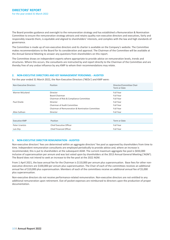The Board provides guidance and oversight to the remuneration strategy and has established a Remuneration & Nomination Committee to ensure the remuneration strategy attracts and retains quality non-executive directors and executives, fairly and responsibly rewards them, is equitable and aligned to shareholders' interests, and complies with the law and high standards of governance.

The Committee is made up of non-executive directors and its charter is available on the Company's website. The Committee makes recommendations to the Board for its consideration and approval. The Chairman of the Committee will be available at the Annual General Meeting to answer any questions from shareholders on this report.

The Committee draws on independent experts where appropriate to provide advice on remuneration levels, trends and structures. Where this occurs, the consultants are instructed by and report directly to the Chairman of the Committee and are thereby free of any undue influence by any KMP to whom their recommendations may relate.

## **2. NON-EXECUTIVE DIRECTORS AND KEY MANAGEMENT PERSONNEL - AUDITED**

For the year ended 31 March 2022, the Non-Executive Directors ('NEDs') and KMP were:

| Non-Executive Directors | Position                                        | Director/Committee Chair<br>Term or Date |
|-------------------------|-------------------------------------------------|------------------------------------------|
| Warren McLeland         | Director                                        | <b>Full Year</b>                         |
|                         | <b>Board Chairman</b>                           | Full Year                                |
|                         | Chairman of Risk & Compliance Committee         | <b>Full Year</b>                         |
| Paul Oneile             | Director                                        | <b>Full Year</b>                         |
|                         | Chairman of Audit Committee                     | Full Year                                |
|                         | Chairman of Remuneration & Nomination Committee | Full Year                                |
| Allan Sullivan          | Director                                        | Full Year                                |
|                         |                                                 |                                          |
| <b>Executive KMP</b>    | Position                                        | Term or Date                             |
| Peter Lirantzis         | <b>Chief Executive Officer</b>                  | <b>Full Year</b>                         |
| Luis Orp                | <b>Chief Financial Officer</b>                  | Full Year                                |
|                         |                                                 |                                          |

## **3. NON-EXECUTIVE DIRECTOR REMUNERATION - AUDITED**

Non-executive directors' fees are determined within an aggregate directors' fee pool as approved by shareholders from time to time. Independent remuneration consultants are employed periodically to provide advice and, where an increase is recommended, this is put to shareholders at the subsequent AGM. The current maximum aggregate fee pool is \$650,000 inclusive of superannuation per annum and was last voted upon by shareholders at the 2013 Annual General Meeting ('AGM'). The Board does not intend to seek an increase to the fee pool at the 2022 AGM.

From 1 April 2021, the base annual fee for the Chairman is \$110,000 per annum plus superannuation. Base fees for other nonexecutive directors are \$100,000 per annum plus superannuation. The Chair of each of the committees receives an additional annual fee of \$10,000 plus superannuation. Members of each of the committees receive an additional annual fee of \$5,000 plus superannuation.

Non-executive directors do not receive performance-related remuneration. Non-executive directors are not entitled to any additional remuneration upon retirement. Out-of-pocket expenses are reimbursed to directors upon the production of proper documentation.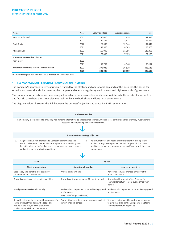| Name                                             | Year | Salary and fees          | Superannuation | Total   |
|--------------------------------------------------|------|--------------------------|----------------|---------|
| <b>Warren McLeland</b>                           | 2022 | 130,000                  | 12,838         | 142,838 |
|                                                  | 2021 | 90,769                   | 8,623          | 99,392  |
| Paul Oneile                                      | 2022 | 125,000                  | 12,344         | 137,344 |
|                                                  | 2021 | 89,500                   | 8,503          | 98,003  |
| Allan Sullivan                                   | 2022 | 115,000                  | 11,356         | 126,356 |
|                                                  | 2021 | 75,000                   | 7,125          | 82,125  |
| <b>Former Non-Executive Director</b>             |      |                          |                |         |
| Kent Bird*                                       | 2022 | $\overline{\phantom{a}}$ | ۰              |         |
|                                                  | 2021 | 45,769                   | 4,348          | 50,117  |
| <b>Total Non-Executive Director Remuneration</b> | 2022 | 370,000                  | 36,538         | 406,538 |
|                                                  | 2021 | 301,038                  | 28,599         | 329,637 |

\*Kent Bird resigned as a non-executive director on 2 October 2020.

## **4. KEY MANAGEMENT PERSONNEL REMUNERATION - AUDITED**

The Company's approach to remuneration is framed by the strategy and operational demands of the business, the desire for superior sustained shareholder returns, the complex and onerous regulatory environment and high standards of governance.

The remuneration structure has been designed to balance both shareholder and executive interests. It consists of a mix of fixed and 'at-risk' pay where the at-risk element seeks to balance both short and long term performance.

The diagram below illustrates the link between the business' objective and executive KMP remuneration.

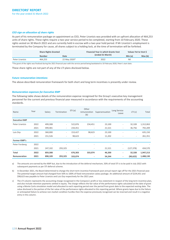## *CEO sign on allocation of share rights*

As part of his remuneration package on appointment as CEO, Peter Lirantzis was provided with an upfront allocation of 464,253 units of share rights. These rights require a two year service period to be completed, starting from 10 February 2020. These rights vested on 30 March 2022 and are currently held in escrow with a two year hold period. If Mr Lirantzis's employment is terminated by the Company for cause, all shares subject to a holding lock, at the time of termination will be forfeited.

|                 | <b>Share Rights Granted</b> |              | <b>Financial Year in which Grants Vest</b> | Values Yet to Vest S |                          |
|-----------------|-----------------------------|--------------|--------------------------------------------|----------------------|--------------------------|
|                 | <b>Number</b>               | Date         | (ended 31 March)                           | Min (a)              | Max(b)                   |
| Peter Lirantzis | 464.253                     | 22 May 2020* | 2022                                       | Nil                  | $\overline{\phantom{0}}$ |

\*The grant of the rights was finalised during the 2021 financial year with the service period being backdated to 10 February 2020, Peter's start date.

These share rights are not part of any of the LTI plans disclosed below.

## *Future remuneration intentions*

The above-described remuneration framework for both short and long term incentives is presently under review.

## *Remuneration expenses for Executive KMP*

The following table shows details of the remuneration expense recognised for the Group's executive key management personnel for the current and previous financial year measured in accordance with the requirements of the accounting standards.

| Name                 | Year | Salary  | Termination              | STI(a)                   | Other<br>remuneration<br>(b) | Superannuation           | Long Service<br>Leave    | LTI(c)                   | Total     |
|----------------------|------|---------|--------------------------|--------------------------|------------------------------|--------------------------|--------------------------|--------------------------|-----------|
| <b>Executive KMP</b> |      |         |                          |                          |                              |                          |                          |                          |           |
| Peter Lirantzis      | 2022 | 499,308 | $\overline{\phantom{a}}$ | 522,876                  | 234,451                      | 23,100                   | $\overline{\phantom{a}}$ | 32,328                   | 1,312,063 |
|                      | 2021 | 499,481 | $\overline{\phantom{a}}$ | 234,451                  | $\overline{\phantom{a}}$     | 21,521                   | $\overline{\phantom{a}}$ | 36,756                   | 792,209   |
| Luis Orp             | 2022 | 360,000 | $\overline{\phantom{0}}$ | 153,427                  | 98,623                       | 23,100                   | $\overline{\phantom{a}}$ | $\overline{\phantom{a}}$ | 635,150   |
|                      | 2021 | 151,526 | $\overline{\phantom{a}}$ | 98,623                   | $\overline{\phantom{a}}$     | 11,202                   | $\overline{\phantom{a}}$ | $\overline{\phantom{a}}$ | 261,351   |
| Former KMP's         |      |         |                          |                          |                              |                          |                          |                          |           |
| Peter Forsberg       | 2022 | -       | ٠                        | $\overline{\phantom{a}}$ | $\overline{\phantom{a}}$     | $\overline{\phantom{a}}$ | $\overline{\phantom{a}}$ |                          |           |
|                      | 2021 | 247,102 | 293,325                  | $\overline{\phantom{a}}$ | $\overline{\phantom{a}}$     | 21,521                   | $\overline{\phantom{a}}$ | (127, 378)               | 434,570   |
| Total                | 2022 | 859,308 | $\sim$                   | 676,303                  | 333,074                      | 46,200                   | $\overline{\phantom{a}}$ | 32,328                   | 1,947,213 |
| Remuneration         | 2021 | 898,109 | 293,325                  | 333,074                  | $\qquad \qquad \blacksquare$ | 54,244                   | $\overline{\phantom{a}}$ | (90, 622)                | 1,488,130 |

a) The amounts are earned by the KMP but, due to the introduction of the deferral mechanism, 50% of total STI is to be paid in July 2022 with subsequent payments as per STI deferral scheme.

b) In December 2021, the Board determined to change the short term incentive framework post annual report sign off for the 2021 financial year. The potential target amount had changed from 50% to 100% of fixed remuneration salary package. An additional amount of \$234,451 and \$98,623 was payable to Peter Lirantzis and Luis Orp respectively for the 2021 year.

c) The LTI column represents the accounting charge recognised in the Company's profit or loss statement in respect of the long term incentive plan, and also include retention payments settled in equity. The charge reflects the fair value of the performance rights calculated at the date of grant using a Monte Carlo simulation model and allocated to each reporting period over the period from grant date to the expected vesting date. The value disclosed is the portion of the fair value of the performance rights allocated to this reporting period. Where grants lapse due to the failure or anticipated failure to achieve non-market condition hurdles then the expense previously recognised can be reversed and result in a negative entry in this column.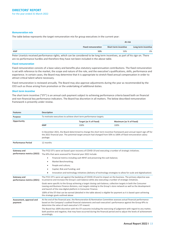## *Remuneration mix*

The table below represents the target remuneration mix for group executives in the current year:

|            |                           | At risk              |                     |
|------------|---------------------------|----------------------|---------------------|
|            | <b>Fixed remuneration</b> | Short term incentive | Long term incentive |
| <b>KMP</b> | 50%                       | 50%                  | 0%                  |

Peter Lirantzis received performance rights, which can be considered to be long term incentives, as part of his sign on. There are no performance hurdles and therefore they have not been included in the above table.

## *Fixed remuneration*

Fixed remuneration consists of a base salary and benefits plus statutory superannuation contributions. The fixed remuneration is set with reference to the market, the scope and nature of the role, and the executive's qualifications, skills, performance and experience. In certain cases, the Board may determine that it is appropriate to stretch fixed annual compensation in order to attract critical talent where necessary.

Fixed remuneration is reviewed annually. The Board may also approve adjustments during the year as recommended by the CEO such as those arising from promotion or the undertaking of additional duties.

## *Short term incentive*

The short term incentive ("STI") is an annual cash payment subject to achieving performance criteria based both on financial and non-financial key performance indicators. The Board has discretion in all matters. The below described remuneration framework is presently under review.

| <b>Features</b>                           | <b>Description</b>                                                                                                                                                                                                                                                                                                                                                                                                                                                                                                                                                                                                                                                                                           |                                                                                                                                                                                    |                                                                                                                                                                                                                                                                                                                                                                  |  |  |  |
|-------------------------------------------|--------------------------------------------------------------------------------------------------------------------------------------------------------------------------------------------------------------------------------------------------------------------------------------------------------------------------------------------------------------------------------------------------------------------------------------------------------------------------------------------------------------------------------------------------------------------------------------------------------------------------------------------------------------------------------------------------------------|------------------------------------------------------------------------------------------------------------------------------------------------------------------------------------|------------------------------------------------------------------------------------------------------------------------------------------------------------------------------------------------------------------------------------------------------------------------------------------------------------------------------------------------------------------|--|--|--|
| Purpose                                   | To motivate executives to achieve short term performance targets.                                                                                                                                                                                                                                                                                                                                                                                                                                                                                                                                                                                                                                            |                                                                                                                                                                                    |                                                                                                                                                                                                                                                                                                                                                                  |  |  |  |
| Opportunity                               | Target (as % of Fixed)<br>Maximum (as % of Fixed)                                                                                                                                                                                                                                                                                                                                                                                                                                                                                                                                                                                                                                                            |                                                                                                                                                                                    |                                                                                                                                                                                                                                                                                                                                                                  |  |  |  |
|                                           | <b>KMP</b>                                                                                                                                                                                                                                                                                                                                                                                                                                                                                                                                                                                                                                                                                                   | 100%                                                                                                                                                                               | 100%                                                                                                                                                                                                                                                                                                                                                             |  |  |  |
|                                           | package.                                                                                                                                                                                                                                                                                                                                                                                                                                                                                                                                                                                                                                                                                                     | the 2021 financial year. The potential target amount had changed from 50% to 100% of fixed remuneration salary                                                                     | In December 2021, the Board determined to change the short term incentive framework post annual report sign off for                                                                                                                                                                                                                                              |  |  |  |
| <b>Performance Period</b>                 | 12 months                                                                                                                                                                                                                                                                                                                                                                                                                                                                                                                                                                                                                                                                                                    |                                                                                                                                                                                    |                                                                                                                                                                                                                                                                                                                                                                  |  |  |  |
| Gateway and<br>performance metrics (2022) | The KPIs that were assessed for financial year 2022 include:<br>$\bullet$<br>Market Benchmarking;<br>$\bullet$<br>People and culture;<br>$\bullet$<br>Capital, Risk and Funding; and                                                                                                                                                                                                                                                                                                                                                                                                                                                                                                                         | The FY22 STI's were set based upon recovery of COVID-19 and executing a number of strategic initiatives.<br>Financial metrics including cash NPAT and preserving the cash balance; | Innovation and technology initiatives (delivery of technology strategies to allow for scale and digitalisation)                                                                                                                                                                                                                                                  |  |  |  |
| Gateway and<br>performance metrics (2021) | The FY21 STI's were set against the backdrop of COVID-19 and its impact on the business. The primary objective was<br>to preserve and increase the Group's cash balance while also executing a number of strategic initiatives.<br>Goals were specific to the Group achieving a target closing cash balance, collection targets in both the Consumer<br>Leasing and Business Finance divisions, cost targets relating to the Group's store network as well as the development<br>and launch of the new digital platform in Consumer Finance.<br>100% of the STI that can be earned (detailed in the table above) is eligible for payment as it is based upon achieving<br>the strategic goals outlined above |                                                                                                                                                                                    |                                                                                                                                                                                                                                                                                                                                                                  |  |  |  |
| Assessment, approval and<br>payment       | determine the value of each executive's STI reward.<br>accordingly.                                                                                                                                                                                                                                                                                                                                                                                                                                                                                                                                                                                                                                          | based on the Company's audited financial statements and each executive's performance against the Group KPIs to                                                                     | At the end of the financial year, the Remuneration & Nomination Committee assesses actual financial performance<br>The Board has 100% discretion with the STI outcome including the exercising of judgement with regard to any matter,<br>both positive and negative, that may have occurred during the financial period and to adjust the levels of achievement |  |  |  |
|                                           |                                                                                                                                                                                                                                                                                                                                                                                                                                                                                                                                                                                                                                                                                                              |                                                                                                                                                                                    |                                                                                                                                                                                                                                                                                                                                                                  |  |  |  |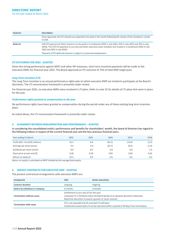| <b>Features</b> | <b>Description</b>                                                                                                                                                                                                                                                        |
|-----------------|---------------------------------------------------------------------------------------------------------------------------------------------------------------------------------------------------------------------------------------------------------------------------|
|                 | Once approved, the STI rewards are expected to be paid in the month following the release of the Company's results<br>to ASX.                                                                                                                                             |
| Deferral        | CEO STI payment to Peter Lirantzis is to be paid in 3 instalments (50% in July 2022, 25% in July 2023 and 25% in July<br>2024). The CFO STI payment to Luis Orp and other executive team members are to paid in 2 instalments (50% in July<br>2022 and 50% in July 2023). |
|                 | Payment of STI deferred amount is subject to continued employment.                                                                                                                                                                                                        |

## **STI OUTCOMES FOR 2022 - AUDITED**

Given the strong performance against NPAT and other KPI measures, short term incentive payments will be made to the executive KMPs for financial year 2022. The Board approved an STI outcome of 75% of total KMP target pool.

## *Long Term Incentive (LTI)*

The Long Term Incentive is an annual performance rights plan to which executive KMP are invited to participate at the Board's discretion. The LTI remuneration framework is presently under review.

For financial year 2022, no executive KMPs were involved in LTI plans. Refer to note 25 for details of LTI plans that were in place for the year.

## *Performance rights granted as compensation in the year*

No performance rights have been granted as compensation during the period under any of these existing long term incentive plans.

As noted above, the LTI remuneration framework is presently under review.

## **5. ALIGNMENT BETWEEN REMUNERATION AND PERFORMANCE – AUDITED**

In considering the consolidated entity's performance and benefits for shareholders' wealth, the board of directors has regard to the following indices in respect of the current financial year and the four previous financial years.

| Year ending 31 March            | 2022 | 2021 | 2020   | 2019   | 2018  |
|---------------------------------|------|------|--------|--------|-------|
| Profit After Tax (AUD millions) | 32.3 | 8.4  | (81.1) | (14.9) | (2.2) |
| Earnings per share (cents)      | 9.5  | 2.6  | (33.7) | (9.3)  | (1.4) |
| Dividends per share (cents)     | 8.0  | 8.5  | 0.0    | 0.0    | 1.0   |
| Share price at year end (\$)    | 0.28 | 0.18 | 0.05   | 0.46   | 0.62  |
| Return on equity %              | 32.5 | 8.4  | n/a    | n/a    | n/a   |

Return on equity is calculated as NPAT divided by the average book equity.

## **6. SERVICE CONTRACTS FOR EXECUTIVE KMP - AUDITED**

The present contractual arrangements with executive KMPs are:

| Component                        | <b>CEO</b>                                                                                                                                                                                        | <b>Senior executives</b> |  |  |
|----------------------------------|---------------------------------------------------------------------------------------------------------------------------------------------------------------------------------------------------|--------------------------|--|--|
| <b>Contract duration</b>         | Ongoing                                                                                                                                                                                           | Ongoing                  |  |  |
| Notice by individual or company  | 6 months<br>6 months                                                                                                                                                                              |                          |  |  |
| <b>Termination without cause</b> | Entitlement to pro-rata STI for the year.<br>Unvested LTI is forfeited unless the Board decide at its absolute discretion otherwise.<br>Board has discretion to award a greater or lesser amount. |                          |  |  |
| <b>Termination with cause</b>    | STI is not awarded and all unvested LTI will lapse.<br>Vested and unexercised LTI can be exercised within a period of 30 days from termination.                                                   |                          |  |  |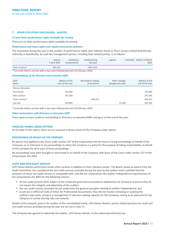## **7. OTHER STATUTORY DISCLOSURES - AUDITED**

## *LTI and Other performance rights available for vesting*

There are no other performance rights available for vesting.

## *Performance and share rights over equity instruments granted*

The movement during the year in the number of performance rights over ordinary shares in Thorn Group Limited held directly, indirectly or beneficially, by each key management person, including their related parties, is as follows:

|                  | Held at<br>1 April 2021 | Granted as<br>Compensation | Vested during<br>the vear | Lapsed                   |                          | Forfeited Held at 31 March<br>2022 |
|------------------|-------------------------|----------------------------|---------------------------|--------------------------|--------------------------|------------------------------------|
| Peter Lirantzis* | 464,253                 | $\overline{\phantom{a}}$   | (464, 253)                | $\overline{\phantom{a}}$ | $\overline{\phantom{0}}$ |                                    |

*\* Currently held in escrow with a two year hold period until 10 February 2024.*

#### *Shareholdings of the directors and executive KMP*

| 2022<br>Name     | Balance at the<br>start of the year | Received on vesting<br>of incentives | Other changes<br>(bought and sold) | Balance at the<br>end of the year |
|------------------|-------------------------------------|--------------------------------------|------------------------------------|-----------------------------------|
| Warren McLeland  | $\overline{\phantom{a}}$            |                                      | ۰                                  | $\qquad \qquad \blacksquare$      |
| Paul Oneile      | 235,000                             | ٠                                    |                                    | 235,000                           |
| Allan Sullivan   | 247,540                             | ٠                                    | ۰                                  | 247,540                           |
| Peter Lirantzis* |                                     | 464,253                              |                                    | 464,253                           |
| Luis Orp         | 250,000                             |                                      | 12.206                             | 262,206                           |

*\* Currently held in escrow with a two year hold period until 10 February 2024.*

#### *Other transactions with Directors or Executive KMP*

There were no loans made or outstanding to Directors or executive KMPs during or at the end of the year.

## **UNISSUED SHARES UNDER OPTIONS**

At the date of this report, there are no unissued ordinary shares of the Company under option.

## **PROCEEDINGS ON BEHALF OF THE COMPANY**

No person has applied to the Court under section 237 of the Corporations Act for leave to bring proceedings on behalf of the Company, or to intervene in any proceedings to which the Company is a party for the purpose of taking responsibility on behalf of the Company for all or part of those proceedings.

No proceedings have been brought or intervened in on behalf of the Company with leave of the Court under section 237 of the Corporations Act 2001.

## **AUDIT AND NON-AUDIT SERVICES**

UHY Haines Norton performed certain other services in addition to their statutory duties. The Board, based on advice from the Audit Committee, has considered the non-audit services provided during the year by the auditor and is satisfied that the provision of those non-audit services is compatible with, and did not compromise, the auditor independence requirements of the Corporations Act 2001 for the following reasons:

- all non-audit services were subject to the corporate governance procedures adopted by the Company to ensure they do not impact the integrity and objectivity of the auditor;
- the non-audit services provided do not undermine the general principles relating to auditor independence; and
- as set out in APES110 Code of Ethics for Professional Accountants, they did not involve reviewing or auditing the auditor's own work, acting in a management or decision-making capacity for the Company, acting as an advocate for the Company or jointly sharing risks and rewards.

Details of the amounts paid to the auditor of the consolidated entity, UHY Haines Norton, and its related practices for audit and non-audit services provided during the year are set out in note 27.

The Company has agreed to indemnify the auditor, UHY Haines Norton, to the extent permitted by law.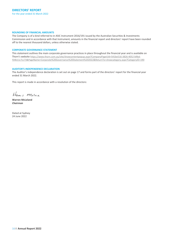## **ROUNDING OF FINANCIAL AMOUNTS**

The Company is of a kind referred to in ASIC Instrument 2016/191 issued by the Australian Securities & Investments Commission and in accordance with that Instrument, amounts in the financial report and directors' report have been rounded off to the nearest thousand dollars, unless otherwise stated.

## **CORPORATE GOVERNANCE STATEMENT**

This statement outlines the main corporate governance practices in place throughout the financial year and is available on Thorn's website https://www.thorn.com.au/site/showcontentpopup.aspx?CompanyPageUid=541be516-3826-4052-b9bdf34b11c7cc73&PageName=Corporate%20Governance%20Statement%202022&ReturnTo=showcategory.aspx?CategoryID=190

## **AUDITOR'S INDEPENDENCE DECLARATION**

The Auditor's independence declaration is set out on page 17 and forms part of the directors' report for the financial year ended 31 March 2022.

This report is made in accordance with a resolution of the directors:

Hammes Medica

**Warren McLeland** *Chairman*

Dated at Sydney 24 June 2022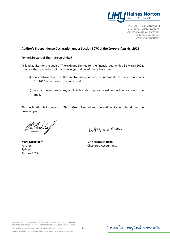

Level 11 | 1 York Street | Sydney | NSW | 2000 GPO Box 4137 | Sydney | NSW | 2001 t: +61 2 9256 6600 | f: +61 2 9256 6611 sydney@uhyhnsyd.com.au www.uhyhnsydney.com.au

## **Auditor's Independence Declaration under Section 307C of the** *Corporations Act 2001*

## **To the Directors of Thorn Group Limited**

As lead auditor for the audit of Thorn Group Limited for the financial year ended 31 March 2022, I declare that, to the best of my knowledge and belief, there have been:

- (a) no contraventions of the auditor independence requirements of the *Corporations Act 2001* in relation to the audit; and
- (b) no contraventions of any applicable code of professional conduct in relation to the audit.

This declaration is in respect of Thorn Group Limited and the entities it controlled during the financial year.

Matchels

Sydney 24 June 2022

UHYHains Naton

**Mark Nicholaeff UHY Haines Norton**  Partner **Charter Chartered Accountants** 

An association of independent firms in Australia and New Zealand and a member of UHY International, a network of independent accounting and consulting firms.

UHY Haines Norton—ABN 85 140 758 156 NSWBN 98 133 826

Liability limited by a scheme approved under Professional Standards Legislation.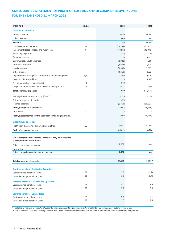# **CONSOLIDATED STATEMENT OF PROFIT OR LOSS AND OTHER COMPREHENSIVE INCOME**

## FOR THE YEAR ENDED 31 MARCH 2022

| \$'000 AUD                                                                                    | <b>Notes</b> | 2022      | 2021      |
|-----------------------------------------------------------------------------------------------|--------------|-----------|-----------|
| <b>Continuing operations</b>                                                                  |              |           |           |
| Interest revenue                                                                              |              | 15,490    | 32,626    |
| Other revenue                                                                                 |              | 1,806     | 816       |
| Revenue                                                                                       |              | 17,296    | 33,442    |
| Employee benefit expense                                                                      | 26           | (14, 137) | (13, 171) |
| Impairment losses on loans and receivables                                                    | 14           | 19,898    | (12, 492) |
| Marketing expenses                                                                            |              | (359)     | 76        |
| Property expenses                                                                             |              | 220       | (422)     |
| Communication & IT expenses                                                                   |              | (3,942)   | (4, 566)  |
| Insurance expenses                                                                            |              | (2,601)   | (1,628)   |
| Legal expenses                                                                                |              | (1, 592)  | (3,007)   |
| Other expenses                                                                                |              | (4, 362)  | (922)     |
| Impairment of intangibles & property, plant and equipment                                     | 9,10         | (389)     | (216)     |
| Recovery of impaired loan                                                                     |              |           | 1,330     |
| Net gain on sale of financial asset                                                           | 8            | 119       |           |
| Corporate expense allocated to discontinued operation                                         | 2            | 8,025     | 7,745     |
| <b>Total operating expenses</b>                                                               |              | 880       | (27, 273) |
| Earnings before interest and tax ("EBIT")                                                     |              | 18,176    | 6,169     |
| Fair value gains on derivative                                                                |              | 1,453     |           |
| Finance expenses                                                                              |              | (6, 764)  | (10,617)  |
| Profit/(Loss) before income tax                                                               |              | 12,865    | (4, 448)  |
| Income tax                                                                                    | 11           |           |           |
| Profit/(Loss) after tax for the year from continuing operations*                              |              | 12,865    | (4, 448)  |
| <b>Discontinued operation</b>                                                                 |              |           |           |
| Profit from discontinued operation, net of tax                                                | 23           | 19,481    | 12,844    |
|                                                                                               |              | 32,346    |           |
| Profit after tax for the year                                                                 |              |           | 8,396     |
| Other comprehensive income - items that may be reclassified<br>subsequently to profit or loss |              |           |           |
|                                                                                               |              | 2,352     | 2,601     |
| Other comprehensive income                                                                    |              |           |           |
| Income tax<br>Other comprehensive income for the year                                         |              | 2,352     | 2,601     |
|                                                                                               |              |           |           |
| <b>Total comprehensive profit</b>                                                             |              | 34,698    | 10,997    |
|                                                                                               |              |           |           |
| <b>Earnings per share- Continuing Operations</b>                                              |              |           |           |
| Basic earnings per share (cents)                                                              | 18           | 3.8       | (1.4)     |
| Diluted earnings per share (cents)                                                            | 18           | 3.8       | (1.4)     |
| <b>Earnings per share- Discontinued Operation</b>                                             |              |           |           |
| Basic earnings per share (cents)                                                              | 18           | 5.7       | 3.9       |
| Diluted earnings per share (cents)                                                            | 18           | 5.7       | 3.9       |
| <b>Earnings per share- Consolidated</b>                                                       |              |           |           |
| Basic earnings per share (cents)                                                              | 18           | 9.5       | 2.6       |
| Diluted earnings per share (cents)                                                            | 18           | 9.5       | 2.5       |
|                                                                                               |              |           |           |

*\* Restated to redirect the results of discontinued business, into one line above Profit after tax for the year. For details see note 23.*

*The Consolidated Statement of Profit or Loss and Other Comprehensive Income is to be read in conjunction with the accompanying notes.*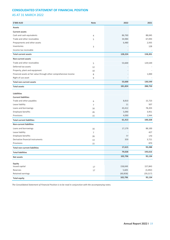## **CONSOLIDATED STATEMENT OF FINANCIAL POSITION** AS AT 31 MARCH 2022

| \$'000 AUD                                                        | <b>Note</b>    | 2022      | 2021      |
|-------------------------------------------------------------------|----------------|-----------|-----------|
| Assets                                                            |                |           |           |
| <b>Current assets</b>                                             |                |           |           |
| Cash and cash equivalents                                         | 4              | 86,760    | 88,045    |
| Trade and other receivables                                       | 5              | 34,984    | 67,093    |
| Prepayments and other assets                                      |                | 6,480     | 2,935     |
| Inventories                                                       | 3              |           | 128       |
| Income tax receivable                                             |                |           |           |
| <b>Total current assets</b>                                       |                | 128,224   | 158,201   |
| <b>Non-current assets</b>                                         |                |           |           |
| Trade and other receivables                                       | 5              | 53,600    | 129,549   |
| Deferred tax assets                                               | 12             |           |           |
| Property, plant and equipment                                     | 10             |           |           |
| Financial assets at fair value through other comprehensive income | 8              |           | 1,000     |
| Right of use asset                                                | 9              |           |           |
| <b>Total non-current assets</b>                                   |                | 53,600    | 130,549   |
| <b>Total assets</b>                                               |                | 181,824   | 288,750   |
| <b>Liabilities</b>                                                |                |           |           |
| <b>Current liabilities</b>                                        |                |           |           |
| Trade and other payables                                          |                | 8,810     | 15,723    |
| Lease liability                                                   | 6              | 11        | 507       |
| Loans and borrowings                                              | 7              | 43,412    | 78,203    |
| Employee benefits                                                 | 16             | 5,090     | 3,951     |
| Provisions                                                        | 26             | 4,090     | 1,944     |
|                                                                   | 15             |           |           |
| <b>Total current liabilities</b>                                  |                | 61,413    | 100,328   |
| <b>Non-current liabilities</b>                                    |                |           |           |
| Loans and borrowings                                              | 16             | 17,179    | 88,100    |
| Lease liability                                                   | $\overline{7}$ |           | 427       |
| Employee benefits                                                 | 26             | 77        | 170       |
| Derivative financial instruments                                  | 13             | 359       | 3,721     |
| Provisions                                                        | 15             |           | 870       |
| <b>Total non-current liabilities</b>                              |                | 17,615    | 93,288    |
| <b>Total liabilities</b>                                          |                | 79,028    | 193,616   |
| Net assets                                                        |                | 102,796   | 95,134    |
|                                                                   |                |           |           |
| Equity<br>Issued capital                                          | $17\,$         | 158,049   | 157,843   |
| Reserves                                                          | 17             | 5,605     | (3, 492)  |
| Retained earnings                                                 |                | (60, 858) | (59, 217) |
| <b>Total equity</b>                                               |                | 102,796   | 95,134    |

*The Consolidated Statement of Financial Position is to be read in conjunction with the accompanying notes.*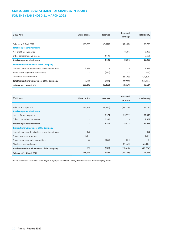## **CONSOLIDATED STATEMENT OF CHANGES IN EQUITY**

FOR THE YEAR ENDED 31 MARCH 2022

| \$'000 AUD                                       | Share capital            | <b>Reserves</b> | Retained  | <b>Total Equity</b> |
|--------------------------------------------------|--------------------------|-----------------|-----------|---------------------|
|                                                  |                          |                 | earnings  |                     |
|                                                  |                          |                 |           |                     |
| Balance at 1 April 2020                          | 155,255                  | (5, 912)        | (43, 569) | 105,775             |
| <b>Total comprehensive income</b>                |                          |                 |           |                     |
| Net profit for the period                        |                          |                 | 8,396     | 8,396               |
| Other comprehensive income                       | $\overline{\phantom{a}}$ | 2,601           |           | 2,601               |
| <b>Total comprehensive income</b>                |                          | 2,601           | 8,396     | 10,997              |
| <b>Transactions with owners of the Company</b>   |                          |                 |           |                     |
| Issue of shares under dividend reinvestment plan | 2,588                    |                 |           | 2,588               |
| Share-based payments transactions                | $\overline{\phantom{a}}$ | (181)           | 132       | (49)                |
| Dividends to shareholders                        | ٠                        |                 | (24, 176) | (24, 176)           |
| Total transactions with owners of the Company    | 2,588                    | (181)           | (24, 044) | (21, 637)           |
| Balance at 31 March 2021                         | 157,843                  | (3, 492)        | (59, 217) | 95,134              |

| <b>S'000 AUD</b>                                 | Share capital | <b>Reserves</b>          | <b>Retained</b>          | <b>Total Equity</b> |
|--------------------------------------------------|---------------|--------------------------|--------------------------|---------------------|
|                                                  |               |                          | earnings                 |                     |
|                                                  |               |                          |                          |                     |
| Balance at 1 April 2021                          | 157,843       | (3,492)                  | (59, 217)                | 95,134              |
| <b>Total comprehensive income</b>                |               |                          |                          |                     |
| Net profit for the period                        |               | 6,974                    | 25,372                   | 32,346              |
| Other comprehensive income                       |               | 2,352                    | $\overline{\phantom{a}}$ | 2,352               |
| <b>Total comprehensive income</b>                |               | 9,326                    | 25,372                   | 34,698              |
| <b>Transactions with owners of the Company</b>   |               |                          |                          |                     |
| Issue of shares under dividend reinvestment plan | 491           |                          |                          | 491                 |
| Shares buy-back program                          | (354)         | $\overline{\phantom{a}}$ |                          | (354)               |
| Share-based payments transactions                | 69            | (229)                    | 154                      | (6)                 |
| Dividends to shareholders                        |               |                          | (27, 167)                | (27, 167)           |
| Total transactions with owners of the Company    | 206           | (229)                    | (27, 013)                | (27, 036)           |
| Balance at 31 March 2022                         | 158,049       | 5,605                    | (60, 858)                | 102,796             |

*The Consolidated Statement of Changes in Equity is to be read in conjunction with the accompanying notes.*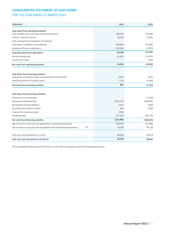## **CONSOLIDATED STATEMENT OF CASH FLOWS**

## FOR THE YEAR ENDED 31 MARCH 2022

| <b>\$'000 AUD</b>                                                                                 | 2022       | 2021       |
|---------------------------------------------------------------------------------------------------|------------|------------|
| Cash flows from operating activities                                                              |            |            |
| Cash receipts from customers (excluding interest)                                                 | 108,763    | 131,780    |
| Interest revenue received                                                                         | 16,623     | 32,001     |
| Cash received from liquidation of inventory                                                       |            |            |
| Cash paid to suppliers and employees                                                              | (40, 494)  | (31, 282)  |
| Equipment finance originations                                                                    | (24, 454)  | (5, 452)   |
| Cash generated from operations                                                                    | 60,438     | 127,047    |
| Net borrowing costs                                                                               | (6, 422)   | (11,076)   |
| Income tax refund                                                                                 |            | 3,051      |
| Net cash from operating activities                                                                | 54,016     | 119,022    |
|                                                                                                   |            |            |
| Cash flows from investing activities<br>Acquisition of property, plant and equipment and software | (257)      | (107)      |
|                                                                                                   |            |            |
| Sale/(Acquisition) of financial asset                                                             | 1,154      | (1,000)    |
| Net cash from investing activities                                                                | 897        | (1, 107)   |
| Cash flows from financing activities                                                              |            |            |
| Proceeds from borrowings                                                                          |            | 11,339     |
| Repayment of borrowings                                                                           | (105, 711) | (138, 582) |
| Repayment of lease liabilities                                                                    | (247)      | (382)      |
| Proceeds from issues of shares                                                                    | 491        | 2,588      |
| Payment for share buy back                                                                        | (354)      |            |
| Dividends paid                                                                                    | (27, 167)  | (24, 176)  |
| Net cash from financing activities                                                                | (132, 988) | (149, 213) |
| Net increase in cash and cash equivalents-continuing operations                                   | (78, 075)  | (31, 298)  |
| Net increase in cash and cash equivalents from discontinued operation<br>23                       | 76,790     | 69,724     |
| Cash and cash equivalents at 1 April                                                              | 88,045     | 49,619     |
| Cash and cash equivalents at 31 March                                                             | 86,760     | 88,045     |

*The Consolidated Statement of Cash Flows is to be read in conjunction with the accompanying notes.*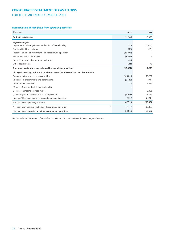## **CONSOLIDATED STATEMENT OF CASH FLOWS**

## FOR THE YEAR ENDED 31 MARCH 2021

## *Reconciliation of cash flows from operating activities*

| <b>\$'000 AUD</b>                                                                         | 2022      | 2021    |
|-------------------------------------------------------------------------------------------|-----------|---------|
| Profit/(Loss) after tax                                                                   | 32,346    | 8,396   |
| <b>Adjustments for:</b>                                                                   |           |         |
| Impairment and net gain on modification of lease liability                                | 389       | (1,217) |
| Equity settled transactions                                                               | (39)      | (49)    |
| Proceeds on sale of investment and discontinued operation                                 | (43, 876) |         |
| Fair value gains on derivative                                                            | (1, 453)  |         |
| Interest expense adjustment on derivative                                                 | 443       |         |
| Other adjustments                                                                         | (131)     | 78      |
| Operating loss before changes in working capital and provisions                           | (12, 321) | 7,208   |
| Changes in working capital and provisions, net of the effects of the sale of subsidiaries |           |         |
| Decrease in trade and other receivables                                                   | 108,058   | 193,201 |
| (Increase) in prepayments and other assets                                                | (3, 545)  | (40)    |
| Decrease in inventories                                                                   | 128       | 7,847   |
| (Decrease) Increase in deferred tax liability                                             |           |         |
| Decrease in income tax receivables                                                        |           | 3,051   |
| (Decrease)/Increase in trade and other payables                                           | (6, 913)  | 1,147   |
| Increase/(Decrease) in provisions and employee benefits                                   | 2,322     | (2,510) |
| Net cash from operating activities                                                        | 87,729    | 209,904 |
| 23<br>Net cash from operating activities-discontinued operation                           | 33,713    | 90,882  |
| Net cash from operation activities - continuing operations                                | 54,016    | 119,022 |

*The Consolidated Statement of Cash Flows is to be read in conjunction with the accompanying notes.*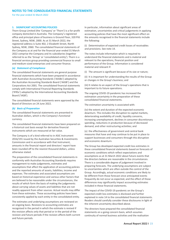## **1. SIGNIFICANT ACCOUNTING POLICIES**

Thorn Group Limited (the 'Company' or 'Thorn') is a for-profit company domiciled in Australia. The Company's registered office and principal place of business is Ground Floor, 320 Pitt Street, Sydney, NSW, 2000. As at 31 March 2022, the registered address is Suite 402, 2 Elizabeth Street, North Sydney, NSW, 2060. The consolidated financial statements of the Company as at and for the financial year ended 31 March 2022 comprise the Company and its subsidiaries (together referred to as the 'Group' or 'consolidated entity'). Thorn is a financial services group providing commercial finance to small and medium-sized enterprises and consumer finance.

## *(a) Statement of Compliance*

The consolidated financial statements are general purpose financial statements which have been prepared in accordance with Australian Accounting Standards ('AASBs') adopted by the Australian Accounting Standards Board ('AASB') and the Corporations Act 2001. The consolidated financial statements comply with International Financial Reporting Standards ('IFRSs') adopted by the International Accounting Standards Board ('IASB').

The consolidated financial statements were approved by the Board of Directors on 24 June 2022.

## *(b) Basis of Preparation*

The consolidated financial statements are presented in Australian dollars, which is the Company's functional currency.

The consolidated financial statements have been prepared on a historical cost basis except for derivative financial instruments which are measured at fair value.

The Company is of a kind referred to in ASIC Instrument 2016/191 issued by the Australian Securities & Investments Commission and in accordance with that Instrument, amounts in the financial report and directors' report have been rounded off to the nearest thousand dollars, unless otherwise stated.

The preparation of the consolidated financial statements in conformity with Australian Accounting Standards requires management to make judgements, estimates and assumptions that affect the application of accounting policies and the reported amounts of assets, liabilities, income and expenses. The estimates and associated assumptions are based on historical experience and various other factors that are believed to be reasonable under the circumstances, the results of which form the basis of making the judgements about carrying values of assets and liabilities that are not readily apparent from other sources. Actual results may differ from these estimates. These accounting policies have been consistently applied by each entity in the consolidated entity.

The estimates and underlying assumptions are reviewed on an ongoing basis. Revisions to accounting estimates are recognised in the period in which the estimate is revised if the revision affects only that period or in the period of the revision and future periods if the revision affects both current and future periods.

In particular, information about significant areas of estimation, uncertainties and critical judgements in applying accounting policies that have the most significant effect on the amounts recognised in the financial statements include the following:

(i) Determination of expected credit losses of receivables and provisions. See note 14.

The notes include information which is required to understand the financial statements and is material and relevant to the operations, financial position and performance of the Group. Information is considered material and relevant if:

(i) The amount is significant because of its size or nature;

(ii) It is important for understanding the results of the Group or changes in the Group's business; and

(iii) It relates to an aspect of the Group's operations that is important to its future operations.

The ongoing COVID-19 pandemic has increased the estimation uncertainty in the preparation of these consolidated financial statements.

The estimation uncertainty is associated with:

(iv) the extent and duration of the expected economic downturn. This includes the disruption to capital markets, deteriorating availability of credit, liquidity concerns, increasing unemployment, declines in consumer discretionary spending, reductions in production because of decreased demand, and other restructuring activities; and

(v) the effectiveness of government and central bank measures that have and may continue to be put in place to support businesses and consumers through this disruption and economic downturn.

The Group has developed expected credit loss estimates in these consolidated financial statements based on forecasts of economic conditions which reflect expectations and assumptions as at 31 March 2022 about future events that the directors believe are reasonable in the circumstances. There is a considerable degree of judgement involved in preparing forecasts. The underlying assumptions are subject to uncertainties which are often outside the control of the Group. Accordingly, actual economic conditions are likely to be different from those forecast since anticipated events frequently do not occur as expected, and the effect of those differences may significantly impact accounting estimates included in these financial statements.

The impact of the COVID-19 pandemic on the Group's expected credit loss estimates is disclosed and further explained in note 14 to the consolidated financial statements. Readers should carefully consider these disclosures in light of the inherent uncertainty described above.

The directors have prepared the consolidated financial statements on a going concern basis, which assumes continuity of normal business activities and the realisation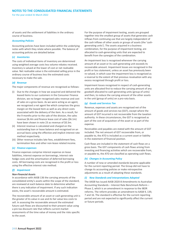of assets and the settlement of liabilities in the ordinary course of business.

## *Accounting Policies*

Accounting policies have been included within the underlying notes with which they relate where possible. The balance of accounting policies are detailed below:

## *(c) Inventories*

The costs of individual items of inventory are determined using weighted average costs less volume rebates received. Inventory is valued at the lower of cost or net realisable value. Net realisable value is the estimated selling price in the ordinary course of business less the estimated costs necessary to make the sale.

## *(d) Revenue*

The major components of revenue are recognised as follows:

- (i) Due to the changes in how we acquired and delivered the leased items to our customers in the Consumer Finance division, we no longer recognised sales revenue and cost of sales on a gross basis. As we were acting as an agent, we recognised a net agent fee which comprises the gross margin on the leased item as well as any direct costs associated with the delivery of the item. As a result, for the 9 months prior to the sale of the division, the sales revenue \$6.4m and finance lease cost of sales (\$6.1m) have been shown in note 23 as revenue of \$0.3m.
- (ii) Interest revenue is calculated and charged on the outstanding loan or lease balance and recognised on an accrual basis using the effective and implicit interest rate method respectively.
- (iii) Other revenue includes late fees, establishment fees, termination fees and other non-lease related income.

## *(e) Finance expenses*

Finance expenses comprise interest expense on lease liabilities, interest expense on borrowings, interest rate hedge costs and the amortisation of deferred borrowing costs. All borrowing costs are recognised in the profit or loss using the effective interest rate method.

## *(f) Impairment*

## *Non-Financial Assets*

In accordance with AASB 136 the carrying amounts of the consolidated entity's assets within the scope of the standard, are reviewed at each balance date to determine whether there is any indication of impairment. If any such indication exists, the asset's recoverable amount is estimated.

The recoverable amount of an asset or cash-generating unit is the greater of its value in use and its fair value less costs to sell. In assessing the recoverable amount the estimated future cash flows are discounted to their present value using a pre-tax discount rate that reflects current market assessments of the time value of money and the risks specific to the asset.

For the purpose of impairment testing, assets are grouped together into the smallest group of assets that generates cash inflows from continuing use that are largely independent of the cash inflows of other assets or groups of assets (the 'cashgenerating units'). The assets acquired in a business combination, for the purpose of impairment testing, are allocated to cash-generating units that are expected to benefit from the synergies of the combination.

An impairment loss is recognised whenever the carrying amount of an asset or its cash-generating unit exceeds its recoverable amount. Impairment losses are recognised in the profit or loss statement, unless an asset has previously been re-valued, in which case the impairment loss is recognised as a reversal to the extent of that previous revaluation with any excess recognised through profit or loss.

Impairment losses recognised in respect of cash-generating units are allocated first to reduce the carrying amount of any goodwill allocated to cash-generating units (group of units) and then, to reduce the carrying amount of the other assets in the unit (group of units) on a pro-rata basis.

## *(g) Goods and Services Tax*

Revenue, expenses and assets are recognised net of the amount of goods and services tax (GST), except where the amount of GST incurred is not recoverable from the taxation authority. In these circumstances, the GST is recognised as part of the cost of acquisition of the asset or as part of the expense

Receivables and payables are stated with the amount of GST included. The net amount of GST recoverable from, or payable to, the ATO is included as a current asset or liability in the statement of financial position.

Cash flows are included in the statement of cash flows on a gross basis. The GST components of cash flows arising from investing and financing activities which are recoverable from, or payable to, the ATO are classified as operating cash flows.

## *(h) Changes in Accounting Policy*

A number of new or amended standards became applicable for the current reporting period. The Group did not have to change its accounting policies or make retrospective adjustments as a result of adopting these standards.

## *(i) New Standards and Interpretations Adopted*

The AASB has issued AASB 2020-8 Amendments to Australian Accounting Standards – Interest Rate Benchmark Reform – Phase 2, which is an amendment in response to the IBOR reforms. The reform provides an amendment to AASB 9, 139, 7 and 16. The standard is effective for the current reporting period and are not expected to significantly affect the current or future periods.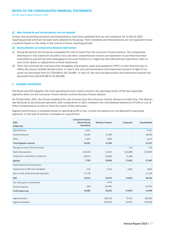## *(j) New Standards and Interpretations not yet adopted*

Certain new accounting standards and interpretations have been published that are not mandatory for 31 March 2022 reporting periods and have not been early adopted by the group. These standards and interpretations are not expected to have a material impact on the entity in the current or future reporting periods.

## *(k) Reclassification of comparative financial information*

- (i) During the period, the Group has completed the sale of assets from the Consumer Finance division. The comparative information in the statement of profit or loss and other comprehensive income and statement of cash flow have been reclassified to present the items belonging to Consumer Finance as a single line item (discontinued operation). Refer to note 23 for details on adjustments to these statements.
- (ii) Thorn has corrected the cost base of its intangibles and property, plant and equipment ('PPE') in prior financial year to reflect the closure of Radio Rentals stores. In note 9, the cost and amortisation and impairment amount of right of use assets has decreased from \$17,559,000 to \$6,120,000. In note 10, the cost and depreciation and impairment amount has decreased from \$34,910,000 to \$4,366,000.

## **2. SEGMENT REPORTING**

The Board and CEO (together the chief operating decision makers) monitor the operating results of the two reportable segments which are the Consumer Finance division and the Business Finance division.

On 20 December 2021, the Group completed the sale of assets from the Consumer Finance division to Credit Corp. This division was disclosed as discontinued operation, with comparatives in 2021 restated in the Consolidated Statement of Profit or Loss & Other Comprehensive Income to show the impact of the sold assets.

Segment performance is evaluated based on operating profit or loss. Income tax expense are not allocated to operating segments, as this type of activity is managed on a group basis.

| 2022<br><b>\$'000 AUD</b>              | <b>Consumer Finance</b><br>(Discontinued<br>operation) | <b>Business Finance</b>  | Corporate | <b>Consolidated</b> |
|----------------------------------------|--------------------------------------------------------|--------------------------|-----------|---------------------|
| Sales Revenue                          | 6,411                                                  |                          |           | 6,411               |
| <b>Interest Revenue</b>                | 22,943                                                 | 15,490                   |           | 38,433              |
| Other                                  | 4,567                                                  | 1,806                    |           | 6,373               |
| <b>Total Segment revenue</b>           | 33,921                                                 | 17,296                   |           | 51,217              |
| Net gain on sale of financial asset    | $\overline{\phantom{a}}$                               |                          | 119       | 119                 |
| Operating expenses                     | (18, 104)                                              | 12,413                   | (19, 288) | (23,969)            |
| Corporate re-allocation of expenses    | (8,025)                                                | (3,883)                  | 11,908    |                     |
| <b>EBITDA</b>                          | 7,792                                                  | 25,826                   | (7, 261)  | 27,367              |
| Depreciation and amortisation          |                                                        |                          |           |                     |
| Impairment on PPE and intangibles      | (13)                                                   | (153)                    | (236)     | (402)               |
| Gain on sale of discontinued operation | 11,736                                                 | $\overline{\phantom{a}}$ |           | 11,736              |
| <b>EBIT</b>                            | 19,515                                                 | 25,673                   | (7, 497)  | 38,701              |
| Fair value gains on derivative         |                                                        | 1,453                    |           |                     |
| Finance expense                        | (34)                                                   | (6, 764)                 |           | (6, 355)            |
| Profit before tax                      | 19,481                                                 | 20,362                   | (7, 497)  | 32,346              |
|                                        |                                                        |                          |           |                     |
| Segment assets                         |                                                        | 109,323                  | 72,501    | 181,824             |
| <b>Segment liabilities</b>             |                                                        | (69, 987)                | (9,041)   | (78, 018)           |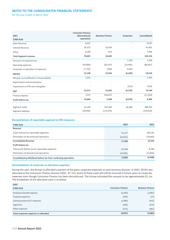## **NOTES TO THE CONSOLIDATED FINANCIAL STATEMENTS**

For the year ended 31 March 2022

| 2021<br><b>\$'000 AUD</b>                   | <b>Consumer Finance</b><br>(Discontinued<br>operation) | <b>Business Finance</b>  | Corporate | Consolidated |
|---------------------------------------------|--------------------------------------------------------|--------------------------|-----------|--------------|
| Sales Revenue                               | 6,037                                                  |                          |           | 6,037        |
| <b>Interest Revenue</b>                     | 58,375                                                 | 32,626                   |           | 91,001       |
| Other                                       | 6,280                                                  | 816                      |           | 7,096        |
| <b>Total Segment revenue</b>                | 70,692                                                 | 33,442                   |           | 104,134      |
| Recovery of impaired loan                   | $\overline{\phantom{a}}$                               | $\overline{\phantom{a}}$ | 1,330     | 1,330        |
| Operating expenses                          | (50, 809)                                              | (20, 197)                | (15, 935) | (86, 941)    |
| Corporate re-allocation of expenses         | (7, 745)                                               | (700)                    | 8,445     |              |
| <b>EBITDA</b>                               | 12,138                                                 | 12,545                   | (6, 160)  | 18,523       |
| Net gain on modification of lease liability | 1,433                                                  | $\overline{\phantom{a}}$ |           | 1,433        |
| Depreciation and amortisation               |                                                        |                          |           |              |
| Impairment on PPE and intangibles           |                                                        |                          | (216)     | (216)        |
| <b>EBIT</b>                                 | 13,571                                                 | 12,545                   | (6, 376)  | 19,740       |
| Finance expense                             | (727)                                                  | (10,617)                 |           | (11, 344)    |
| Profit before tax                           | 12,844                                                 | 1,928                    | (6, 376)  | 8,396        |
|                                             |                                                        |                          |           |              |
| Segment assets                              | 52,146                                                 | 167,304                  | 69,300    | 288,750      |
| Segment liabilities                         | (20, 946)                                              | (172, 670)               |           | (193, 616)   |

## **Reconciliations of reportable segment to IFRS measures**

| <b>S'000 AUD</b>                                                 | 2022      | 2021      |
|------------------------------------------------------------------|-----------|-----------|
| Revenue                                                          |           |           |
| Total revenue for reportable segments                            | 51,217    | 104,134   |
| Elimination of discontinued operations                           | (33, 921) | (70, 692) |
| <b>Consolidated Revenue</b>                                      | 17,296    | 33,442    |
| Profit before tax                                                |           |           |
| Total profit before tax for reportable segments                  | 32,346    | 8,396     |
| Elimination of discontinued operations                           | (19, 481) | (12, 844) |
| Consolidated profit/(loss) before tax from continuing operations | 12,865    | (4, 448)  |

## **Reconciliations of corporate re-allocation expenses**

During the year, the Group re-allocated a portion of the gross corporate expenses to each business division. In 2022, \$8.0m was allocated to the Consumer Finance division (2021: \$7.7m). Some of these costs will still be incurred in future years as corporate expenses even though Consumer Finance has been discontinued. The Group estimated this amount to be approximately \$1.1m. The breakdown of the allocated costs is as below.

| 2022                                  |                         |                         |
|---------------------------------------|-------------------------|-------------------------|
| <b>\$'000 AUD</b>                     | <b>Consumer Finance</b> | <b>Business Finance</b> |
| Employee benefit expense              | (4, 393)                | (2,481)                 |
| Property expenses                     | (305)                   | (77)                    |
| Communication & IT expenses           | (2,489)                 | (631)                   |
| Legal fees                            | (266)                   | (213)                   |
| Other expenses                        | (572)                   | (481)                   |
| Total corporate expenses re-allocated | (8,025)                 | (3,883)                 |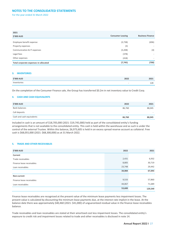## **NOTES TO THE CONSOLIDATED STATEMENTS**

For the year ended 31 March 2022

| 2021                                  |                         |                          |
|---------------------------------------|-------------------------|--------------------------|
| <b>\$'000 AUD</b>                     | <b>Consumer Leasing</b> | <b>Business Finance</b>  |
|                                       |                         |                          |
| Employee benefit expense              | (3, 738)                | (696)                    |
| Property expenses                     | (3)                     | $\overline{\phantom{a}}$ |
| Communication & IT expenses           | (3,208)                 | (4)                      |
| Legal fees                            | (378)                   | $\overline{\phantom{a}}$ |
| Other expenses                        | (418)                   | $\overline{\phantom{a}}$ |
| Total corporate expenses re-allocated | (7, 745)                | (700)                    |

## **3. INVENTORIES**

| <b>\$'000 AUD</b> | 2022 | 2021            |
|-------------------|------|-----------------|
| Inventories       |      | 170<br>ᅩㄥ<br>__ |

On the completion of the Consumer Finance sale, the Group has transferred \$0.2m in net inventory value to Credit Corp.

## **4. CASH AND CASH EQUIVALENTS**

| <b>\$'000 AUD</b>         | 2022                     | 2021                     |
|---------------------------|--------------------------|--------------------------|
| Bank balances             | 86,760                   | 88,045                   |
| Call deposits             | $\overline{\phantom{a}}$ | $\overline{\phantom{a}}$ |
| Cash and cash equivalents | 86,760                   | 88,045                   |

Included in cash is an amount of \$18,705,000 (2021: \$19,745,000) held as part of the consolidated entity's funding arrangements that is not available to the consolidated entity. This cash is held within the warehouse and as such is under the control of the external Trustee. Within this balance, \$6,973,605 is held in an excess spread reserve account as collateral. Free cash is \$68,055,000 (2021: \$68,300,000) as at 31 March 2022.

## **5. TRADE AND OTHER RECEIVABLES**

| <b>\$'000 AUD</b>         | 2022   | 2021    |
|---------------------------|--------|---------|
| Current                   |        |         |
| Trade receivables         | 2,431  | 6,932   |
| Finance lease receivables | 8,805  | 30,719  |
| Loan receivables          | 23,748 | 29,442  |
|                           | 34,984 | 67,093  |
| Non-current               |        |         |
| Finance lease receivables | 9,533  | 57,860  |
| Loan receivables          | 44,067 | 71,689  |
|                           | 53,600 | 129,549 |

Finance lease receivables are recognised at the present value of the minimum lease payments less impairment losses. The present value is calculated by discounting the minimum lease payments due, at the interest rate implicit in the lease. At the balance date there was approximately \$40,460 (2021: \$41,000) of unguaranteed residual value in the finance lease receivables balance.

Trade receivables and loan receivables are stated at their amortised cost less impairment losses. The consolidated entity's exposure to credit risk and impairment losses related to trade and other receivables is disclosed in note 14.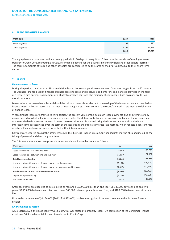## **6. TRADE AND OTHER PAYABLES**

| <b>\$'000 AUD</b> | 2022  | 2021   |
|-------------------|-------|--------|
| Trade payables    | 103   | 425    |
| Other payables    | 8,707 | 15,298 |
|                   | 8,810 | 15,723 |

Trade payables are unsecured and are usually paid within 30 days of recognition. Other payables consists of employee leave transfer to Credit Corp, marketing accruals, refundable deposits for the Business Finance division and other general accruals. The carrying amounts of trade and other payables are considered to be the same as their fair values, due to their short-term nature.

## **7. LEASES**

## *Finance leases as lessor*

During the period, the Consumer Finance division leased household goods to consumers. Contracts ranged from 1 - 60 months. The Business Finance division finances business assets to small and medium-sized enterprises. Finance is provided in the form of a lease, a hire purchase agreement or a chattel mortgage contract. The majority of contracts in both divisions are for 24 months or more.

Leases where the lessee has substantially all the risks and rewards incidental to ownership of the leased assets are classified as finance leases. All other leases are classified as operating leases. The majority of the Group's leased assets meet the definition of finance leases.

Where finance leases are granted to third parties, the present value of the minimum lease payments plus an estimate of any unguaranteed residual value is recognised as a receivable. The difference between the gross receivable and the present value of the receivable is unearned interest income. Lease receipts are discounted using the interest rate implicit in the lease. Interest income is recognised over the term of the lease using the effective interest rate method, which reflects a constant rate of return. Finance lease income is presented within interest revenue.

Contracts are secured against the assets leased. In the Business Finance division, further security may be obtained including the taking of personal and director guarantees.

The future minimum lease receipts under non-cancellable finance leases are as follows:

| <b>S'000 AUD</b>                                                        | 2022     | 2021      |
|-------------------------------------------------------------------------|----------|-----------|
| Lease receivables - less than one year                                  | 16,990   | 100,778   |
| Lease receivables - between one and five years                          | 11,059   | 81,861    |
| <b>Total Lease receivables</b>                                          | 28,049   | 182,639   |
| Unearned interest income on finance leases - less than one year         | (2, 181) | (29, 773) |
| Unearned interest income on finance leases - between one and five years | (1, 418) | (22, 649) |
| Total unearned interest income on finance leases                        | (3,599)  | (52, 422) |
| Impairment provisioning                                                 | (6, 112) | (41, 638) |
| Net Lease receivables                                                   | 18,338   | 88,579    |

Gross cash flows are expected to be collected as follows: \$16,990,000 less than one year, \$8,140,000 between one and two years, \$2,753,000 between years two and three, \$63,000 between years three and four, and \$103,000 between years four and five.

Finance lease revenue of \$4,134,000 (2021: \$10,533,000) has been recognised in interest revenue in the Business Finance division.

#### *Finance leases as lessee*

At 31 March 2022, the lease liability was \$0.1m, this was related to property leases. On completion of the Consumer Finance asset sale, \$0.3m in lease liability was transferred to Credit Corp.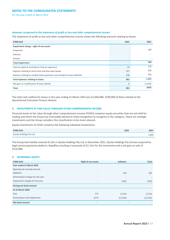## **NOTES TO THE CONSOLIDATED STATEMENTS**

For the year ended 31 March 2022

## *Amounts recognised in the statement of profit or loss and other comprehensive income*

The statement of profit or loss and other comprehensive income shows the following amounts relating to leases.

| <b>S'000 AUD</b>                                                              | 2022                     | 2021     |
|-------------------------------------------------------------------------------|--------------------------|----------|
| Impairment charge - right-of-use assets                                       |                          |          |
| Properties                                                                    |                          | 109      |
| Vehicles                                                                      |                          |          |
| Printers                                                                      |                          |          |
| <b>Total impairment</b>                                                       | $\overline{\phantom{a}}$ | 109      |
| Interest expense (included in finance expenses)                               | 14                       | 176      |
| Expense relating to short-term and low-value leases                           | 217                      | 439      |
| Expense relating to variable lease payments not included in lease liabilities | 130                      | 526      |
| <b>Total expenses relating to leases</b>                                      | 361                      | 1,141    |
| Net gain on modification of lease liability                                   | $\mathbf{0}$             | (1, 433) |
| Total                                                                         | 361                      | (292)    |

The total cash outflow for leases in the year ending 31 March 2022 was \$1,046,000. \$799,000 of these related to the discontinued Consumer Finance division.

## **8. INVESTMENTS AT FAIR VALUE THROUGH OTHER COMPREHENSIVE INCOME**

Financial assets at fair value through other comprehensive income (FVOCI) comprise equity securities that are not held for trading and which the Group has irrevocably elected at initial recognition to recognise in this category. These are strategic investments and the Group considers this classification to be more relevant.

Equity investments at FVOCI comprise the following individual investments:

| <b>\$'000 AUD</b>       | 2022 | 2021      |
|-------------------------|------|-----------|
| Quicka Holdings Pty Ltd |      | $\pm,000$ |

The Group had initially invested \$1.0m in Quicka Holdings Pty Ltd. In December 2021, Quicka Holdings Pty Ltd was acquired by legal service payments platform, RapidPay resulting in proceeds of \$1.15m for the investment and a net gain on sale of \$119,000.

## **9. INTANGIBLE ASSETS**

| <b>\$'000 AUD</b>                 | <b>Right of use assets</b> | Software                     | Total                    |
|-----------------------------------|----------------------------|------------------------------|--------------------------|
| Year ended 31 March 2022          |                            |                              |                          |
| Opening net carrying amount       | $\qquad \qquad -$          | $\overline{\phantom{a}}$     | $\overline{\phantom{a}}$ |
| Additions                         | $\overline{\phantom{a}}$   | 145                          | 145                      |
| Amortisation charges for the year | $\overline{\phantom{a}}$   | $\qquad \qquad \blacksquare$ | $\overline{\phantom{0}}$ |
| Impairment charges for the year   | $\qquad \qquad -$          | (145)                        | (145)                    |
| Closing net book amount           | $\overline{\phantom{a}}$   | $\overline{\phantom{a}}$     |                          |
| At 31 March 2022                  |                            |                              |                          |
| Cost                              | 277                        | 17,254                       | 17,531                   |
| Amortisation and impairment       | (277)                      | (17, 254)                    | (17, 531)                |
| Net book amount                   | ٠                          |                              | $\overline{\phantom{a}}$ |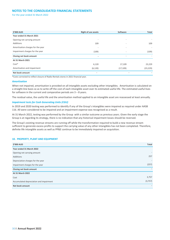## **NOTES TO THE CONSOLIDATED FINANCIAL STATEMENTS**

For the year ended 31 March 2022

| <b>\$'000 AUD</b>                 | <b>Right of use assets</b> | Software                 | Total     |
|-----------------------------------|----------------------------|--------------------------|-----------|
| Year ended 31 March 2021          |                            |                          |           |
| Opening net carrying amount       | $\overline{\phantom{a}}$   | $\overline{\phantom{a}}$ |           |
| Additions                         | 109                        | $\overline{\phantom{a}}$ | 109       |
| Amortisation charges for the year | $\overline{\phantom{a}}$   | $\overline{\phantom{a}}$ |           |
| Impairment charges for the year   | (109)                      | $\overline{\phantom{a}}$ | (109)     |
| Closing net book amount           |                            | $\overline{\phantom{a}}$ |           |
| At 31 March 2021                  |                            |                          |           |
| $Cost*$                           | 6,120                      | 17,109                   | 23,229    |
| Amortisation and impairment       | (6, 120)                   | (17, 109)                | (23, 229) |
| Net book amount                   | $\overline{\phantom{0}}$   |                          |           |

\*Costs corrected to reflect closure of Radio Rentals stores in 2021 financial year.

#### *Amortisation*

When not impaired, amortisation is provided on all intangible assets excluding other intangibles. Amortisation is calculated on a straight-line basis so as to write off the cost of each intangible asset over its estimated useful life. The estimated useful lives for software in the current and comparative periods are 3 – 8 years.

The residual value, the useful life and the amortisation method applied to an intangible asset are reassessed at least annually.

#### *Impairment tests for Cash Generating Units (CGU)*

In 2019 and 2020 testing was performed to identify if any of the Group's intangibles were impaired as required under AASB 116. All were considered to be impaired and an impairment expense was recognised as a result.

At 31 March 2022, testing was performed by the Group with a similar outcome as previous years. Given the early stage the Group is at regarding its strategy, there is no indication that any historical impairment losses should be reversed.

The Group's existing revenue streams are running off while the transformation required to build a new revenue stream sufficient to generate excess profits to support the carrying value of any other intangibles has not been completed. Therefore, definite life intangible assets as well as PP&E continue to be immediately impaired on acquisition.

#### **10. PROPERTY, PLANT AND EQUIPMENT**

| <b>\$'000 AUD</b>                       | Total                    |
|-----------------------------------------|--------------------------|
| Year ended 31 March 2022                |                          |
| Opening net carrying amount             | $\overline{\phantom{a}}$ |
| Additions                               | 257                      |
| Depreciation charges for the year       | $\overline{\phantom{a}}$ |
| Impairment charges for the year         | (257)                    |
| Closing net book amount                 |                          |
| At 31 March 2022                        |                          |
| Cost                                    | 3,757                    |
| Accumulated depreciation and impairment | (3,757)                  |
| Net book amount                         |                          |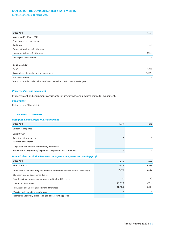## **NOTES TO THE CONSOLIDATED STATEMENTS**

For the year ended 31 March 2022

| <b>\$'000 AUD</b>                 | Total |
|-----------------------------------|-------|
| Year ended 31 March 2021          |       |
| Opening net carrying amount       |       |
| Additions                         | 107   |
| Depreciation charges for the year | ٠     |
| Impairment charges for the year   | (107) |
| Closing net book amount           |       |
| At 31 March 2021                  |       |
| $Cost*$                           | 4,366 |

| Accumulated depreciation and impairment | (4, 366) |
|-----------------------------------------|----------|
| Net book amount                         |          |
|                                         |          |

\*Costs corrected to reflect closure of Radio Rentals stores in 2021 financial year.

## *Property plant and equipment*

Property plant and equipment consist of furniture, fittings, and physical computer equipment.

## *Impairment*

Refer to note 9 for details.

## **11. INCOME TAX EXPENSE**

## *Recognised in the profit or loss statement*

| <b>\$'000 AUD</b>                                                   | 2022 | 2021 |
|---------------------------------------------------------------------|------|------|
| <b>Current tax expense</b>                                          |      |      |
| Current year                                                        |      |      |
| Adjustment for prior year                                           |      |      |
| Deferred tax expense                                                |      |      |
| Origination and reversal of temporary differences                   |      |      |
| Total income tax (benefit)/ expense in the profit or loss statement |      |      |

## *Numerical reconciliation between tax expense and pre-tax accounting profit*

| <b>S'000 AUD</b>                                                                  | 2022    | 2021    |
|-----------------------------------------------------------------------------------|---------|---------|
| Profit before tax                                                                 | 32,346  | 8,396   |
| Prima facie income tax using the domestic corporation tax rate of 30% (2021: 30%) | 9,704   | 2,519   |
| Change in income tax expense due to:                                              |         |         |
| Non-deductible expense and unrecognised timing differences                        | 31      | (6)     |
| Utilisation of tax losses                                                         | (7,999) | (1,657) |
| Recognised and unrecognised timing differences                                    | (1,736) | (856)   |
| (Over) / Under provided in prior years                                            |         |         |
| Income tax (benefit)/ expense on pre-tax accounting profit                        |         |         |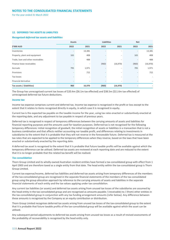## **12. DEFERRED TAX ASSETS & LIABILITIES**

## *Recognised deferred tax assets and liabilities*

|                                   | <b>Liabilities</b><br>Assets |        | <b>Net</b> |           |       |                          |
|-----------------------------------|------------------------------|--------|------------|-----------|-------|--------------------------|
| <b>\$'000 AUD</b>                 | 2022                         | 2021   | 2022       | 2021      | 2022  | 2021                     |
| Inventories                       |                              | 13,381 |            |           |       | 13,381                   |
| Property, plant and equipment     | 165                          | 408    |            |           | 165   | 408                      |
| Trade, loan and other receivables | $\overline{\phantom{a}}$     | 488    |            |           |       | 488                      |
| Finance lease receivables         |                              |        | (960)      | (16,970)  | (960) | (16,970)                 |
| Accruals                          | 795                          | 1,971  |            |           | 795   | 1,971                    |
| Provisions                        |                              | 722    |            |           |       | 722                      |
| Tax losses                        |                              |        |            |           |       | $\overline{\phantom{a}}$ |
| Financial derivative              |                              |        |            |           |       | $\overline{\phantom{a}}$ |
| Tax assets / (liabilities)        | 960                          | 16,970 | (960)      | (16, 970) |       |                          |

The Group has unrecognised current tax losses of \$20.4m (\$6.1m tax effected) and \$38.5m (\$11.6m tax effected) of unrecognised deferred tax future deductions.

## *Income tax*

Income tax expense comprises current and deferred tax. Income tax expense is recognised in the profit or loss except to the extent that it relates to items recognised directly in equity, in which case it is recognised in equity.

Current tax is the expected tax payable on the taxable income for the year, using tax rates enacted or substantively enacted at the reporting date, and any adjustment to tax payable in respect of previous years.

Deferred tax is recognised in respect of temporary differences between the carrying amounts of assets and liabilities for financial reporting purposes and the amounts used for taxation purposes. Deferred tax is not recognised for the following temporary differences: initial recognition of goodwill, the initial recognition of assets or liabilities in a transaction that is not a business combination and that affects neither accounting nor taxable profit, and differences relating to investments in subsidiaries to the extent that it is probable that they will not reverse in the foreseeable future. Deferred tax is measured at the tax rates that are expected to be applied to the temporary differences when they reverse, based on the laws that have been enacted or substantively enacted by the reporting date.

A deferred tax asset is recognised to the extent that it is probable that future taxable profits will be available against which the temporary difference can be utilised. Deferred tax assets are reviewed at each reporting date and are reduced to the extent that it is no longer probable that the related tax benefit will be realised.

## *Tax consolidation*

Thorn Group Limited and its wholly-owned Australian resident entities have formed a tax-consolidated group with effect from 1 April 2003 and are therefore taxed as a single entity from that date. The head entity within the tax-consolidated group is Thorn Group Limited.

Current tax expense/income, deferred tax liabilities and deferred tax assets arising from temporary differences of the members of the tax-consolidated group are recognised in the separate financial statements of the members of the tax-consolidated group using the group allocation approach by reference to the carrying amounts of assets and liabilities in the separate financial statements of each entity and the tax values applying under tax consolidation.

Any current tax liabilities (or assets) and deferred tax assets arising from unused tax losses of the subsidiaries are assumed by the head entity in the tax-consolidated group and are recognised as amounts payable / (receivable) to / (from) other entities in the tax-consolidated group in conjunction with any tax funding arrangement amounts (refer below). Any difference between these amounts is recognised by the Company as an equity contribution or distribution.

Thorn Group Limited recognises deferred tax assets arising from unused tax losses of the tax-consolidated group to the extent that it is probable that future taxable profits of the tax-consolidated group will be available against which the asset can be utilised.

Any subsequent period adjustments to deferred tax assets arising from unused tax losses as a result of revised assessments of the probability of recoverability is recognised by the head entity only.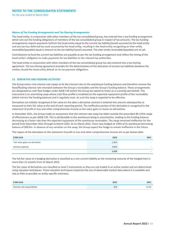## **NOTES TO THE CONSOLIDATED STATEMENTS**

For the year ended 31 March 2022

## *Nature of Tax Funding Arrangements and Tax Sharing Arrangements*

The head entity, in conjunction with other members of the tax-consolidated group, has entered into a tax funding arrangement which sets out the funding obligations of members of the tax-consolidated group in respect of tax amounts. The tax funding arrangements require payments to/from the head entity equal to the current tax liability/(asset) assumed by the head entity and any tax-loss deferred tax asset assumed by the head entity, resulting in the head entity recognising an inter-entity receivable/(payable) equal in amount to the tax liability/(asset) assumed. The inter-entity receivable/(payable) are at call.

Contributions to fund the current tax liabilities are payable as per the tax funding arrangement and reflect the timing of the head entity's obligation to make payments for tax liabilities to the relevant tax authorities.

The head entity in conjunction with other members of the tax-consolidated group has also entered into a tax sharing agreement. The tax sharing agreement provides for the determination of the allocation of income tax liabilities between the entities should the head entity default on its tax payment obligations.

## **13. DERIVATIVE AND HEDGING ACTIVITIES**

The Group enters into interest rate swaps to fix the interest rate on the warehouse funding balance and therefore remove the fixed/floating interest rate mismatch between the Group's receivables and the Group's funding balance. These arrangements are designated as cash flow hedges under AASB 139 (which the Group has opted to retain as is currently permitted). This instrument is an amortising swap whose cash flow profile is modelled on the expected repayment profile of the receivables (which mirrors the funding balance) and is regularly reset. As such the swap is expected to be effective.

Derivatives are initially recognised at fair value on the date a derivative contract is entered into and are subsequently remeasured to their fair value at the end of each reporting period. The ineffective portion of the derivative is recognised in the statement of profit or loss and other comprehensive income as fair value gains or losses on derivatives.

In December 2021, the Group made an assessment that the interest rate swap has fallen outside the prescribed 80-125% range of effectiveness as per AASB 139. This is attributable to the warehouse being in amortisation, leading to the funding balance decreasing at a faster rate than the expected repayment of the warehouse receivables. The swap remained ineffective for the period from December 2021 through to March 2022. At 31 March 2022, Thorn was hedged at 139% of its warehouse borrowing balance of \$60.6m. In absence of any variation on the swap, the Group expect the hedge to remain ineffective in the future.

The impact of the derivative on the statement of profit or loss and other comprehensive income are as per below table.

| \$'000 AUD                     | 2022  | 2021                     |
|--------------------------------|-------|--------------------------|
| Fair value gains on derivative | 1,453 |                          |
| Interest expense               | (443) | $\overline{\phantom{0}}$ |
|                                | 1,010 | $\overline{\phantom{0}}$ |

The full fair value of a hedging derivative is classified as a non-current liability as the remaining maturity of the hedged item is more than 12 months from 31 March 2022.

The fair value of derivatives are classified as level 2 instruments as they are not traded in an active market and are determined using valuation techniques. These valuation techniques maximise the use of observable market data where it is available and rely as little as possible on entity-specific estimates.

| <b>\$'000 AUD</b><br>2022    |     | 2021                         |
|------------------------------|-----|------------------------------|
| Interest rate swap liability | 359 | $\neg \neg$<br><u>.,, .,</u> |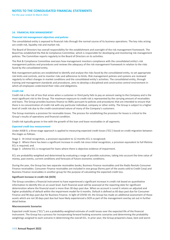## **14. FINANCIAL RISK MANAGEMENT**

## *Financial risk management objectives and policies*

The consolidated entity is exposed to financial risks through the normal course of its business operations. The key risks arising are credit risk, liquidity risk and market risk.

The Board of Directors has overall responsibility for the establishment and oversight of the risk management framework. The Board has established the Risk & Compliance Committee, which is responsible for developing and monitoring risk management policies. The Committee reports regularly to the Board of Directors on its activities.

The Risk & Compliance Committee oversees how management monitors compliance with the consolidated entity's risk management policies and procedures and reviews the adequacy of the risk management framework in relation to the risks faced by the consolidated entity.

Risk management policies are established to identify and analyse the risks faced by the consolidated entity, to set appropriate risk limits and controls, and to monitor risks and adherence to limits. Risk management policies and systems are reviewed regularly to reflect changes in market conditions and the consolidated entity's activities. The consolidated entity, through training and management standards and procedures, aims to develop a disciplined and constructive control environment in which all employees understand their roles and obligations.

## *Credit risk*

Credit risk is the risk of loss that arises when a customer or third party fails to pay an amount owing to the Company and is the most significant risk to the Group. The maximum exposure to credit risk is represented by the carrying amount of receivables and loans. The Group provides business finance to SMEs pursuant to policies and procedures that are intended to ensure that there is no concentration of credit risk with any particular individual, company or other entity. The Group is subject to a higher level of credit risk due to the credit-constrained nature of many of the Company's customers.

The Group maintains a provision for receivable losses. The process for establishing the provision for losses is critical to the Group's results of operations and financial condition.

Credit risk typically grows in line with the growth of the loan and lease receivables in all segments.

#### *Expected credit loss measurement*

Under AASB 9, a three-stage approach is applied to measuring expected credit losses ('ECL') based on credit migration between the stages as follows:

Stage 1: At initial recognition, a provision equivalent to 12 months ECL is recognised;

Stage 2: Where there has been a significant increase in credit risk since initial recognition, a provision equivalent to full lifetime ECL is required; and

Stage 3: Lifetime ECL is recognised for loans where there is objective evidence of impairment.

ECL are probability-weighted and determined by evaluating a range of possible outcomes, taking into account the time value of money, past events, current conditions and forecasts of future economic conditions.

During the year, the Group has two separate receivables books; Business Finance receivables and the Radio Rentals Consumer Finance receivables. Consumer Finance receivables are included in one group (forms part of the assets sold to Credit Corp) and Business Finance receivables in another group for the purpose of calculating the expected credit loss.

## **Significant increase in credit risk (SICR)**

The Group considers a financial instrument to have experienced a significant increase in credit risk based on quantitative information to identify this on an asset level. Each financial asset will be assessed at the reporting date for significant deterioration where the financial asset is more than 30 days past due. When an account is cured it retains an adjusted and higher probability of default within the impairment model for 6 months. Default is defined as 60 days past due for Consumer Finance and 90 days past due for Business Finance. In light of COVID-19, the Group has made an additional assessment of those assets which are not 30 days past due but have likely experienced a SICR as part of the management overlay set out in further detail below.

#### **Macroeconomic Scenarios**

Expected credit losses ("ECL") are a probability-weighted estimate of credit losses over the expected life of the financial instrument. The Group has a process for incorporating forward-looking economic scenarios and determining the probability weightings assigned to each scenario in determining the overall ECL. In prior year, the Group prepared a base, best and worst-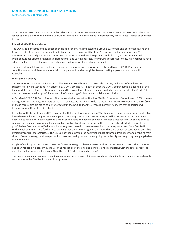case scenario based on economic variables relevant to the Consumer Finance and Business Finance business units. This is no longer applicable with the sale of the Consumer Finance division and change in methodology for Business Finance as explained below.

## **Impact of COVID-19 pandemic**

The COVID-19 pandemic and its effect on the local economy has impacted the Group's customers and performance, and the future effects of the pandemic and ultimate impact on the recoverability of the Group's receivables are uncertain. The outbreak necessitated governments to respond at unprecedented levels to protect public health, local economies and livelihoods. It has affected regions at different times and varying degrees. The varying government measures in response have added challenges, given the rapid pace of change and significant operational demands.

The speed at which territories and states unwound their lockdown measures and returned to pre-COVID-19 economic conditions varied and there remains a risk of the pandemic and other global issues creating a possible recession within Australia.

## **Management overlay**

The Business Finance division finances small to medium-sized businesses across the country and many of the division's customers are in industries heavily affected by COVID-19. The full impact of both the COVID-19 pandemic is uncertain at the balance date for the Business Finance division as the Group has yet to see the anticipated drop in arrears for the COVID-19 affected lease receivables portfolio as a result of unwinding of all social and lockdown restrictions.

At 31 March 2022, \$34.6m of Business Finance receivables were identified as COVID-19 impacted. Out of these, 16.1% by value were greater than 30 days in arrears at the balance date. As the COVID-19 lease receivables moves towards its end term (36% of these receivables are set to come to term within the next 18 months), there is increasing concern that collections will become more difficult for this cohort.

In the 6 months to September 2021, consistent with the methodology used in 2021 financial year, a six-point rating matrix has been developed which ranges from No Impact to Very High Impact and results in expected loss severities from 5% to 95%. Receivables have in turn been assigned a rating on the scale and have then been attributed a loss severity which has been to calculate an expected loss for each individual receivable. To allocate a rating on the scale to each individual receivable the portfolio has first been stratified into industry segments based on how severely impacted they have been from COVID-19. Within each sub-industry, a further breakdown is made where management believes there is a cohort of contract holders that exhibit similar risk characteristics. The Group has then assessed the potential impact of three different scenarios, ranging from slow to faster recovery, on the expected loss provision and given each a weighting, with the highest weighting being applied to the baseline case.

In light of evolving circumstances, the Group's methodology has been assessed and revised since March 2021. The provision has been reduced in quantum in line with the reduction of the affected portfolio and is consistent with the total percentage used for the half-year results (circa 43% of the total COVID-19 impacted book).

The judgements and assumptions used in estimating the overlays will be reviewed and refined in future financial periods as the recovery from the COVID-19 pandemic progresses.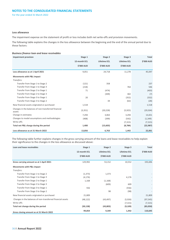## **Loss allowance**

The impairment expense on the statement of profit or loss includes both net write-offs and provision movements.

The following table explains the changes in the loss allowance between the beginning and the end of the annual period due to these factors:

## *Business finance loan and lease receivables*

| <b>Impairment provision</b>                                    | Stage 1           | Stage 2             | Stage 3             | Total      |
|----------------------------------------------------------------|-------------------|---------------------|---------------------|------------|
|                                                                | 12-month ECL      | <b>Lifetime ECL</b> | <b>Lifetime ECL</b> | \$'000 AUD |
|                                                                | <b>\$'000 AUD</b> | <b>S'000 AUD</b>    | \$'000 AUD          |            |
| Loss allowance as at 1 April 2021                              | 9,051             | 24,718              | 11,278              | 45,047     |
| <b>Movements with P&amp;L impact</b>                           |                   |                     |                     |            |
| Transfers:                                                     |                   |                     |                     |            |
| Transfer from Stage 1 to Stage 2                               | (121)             | 358                 |                     | 237        |
| Transfer from Stage 1 to Stage 3                               | (218)             |                     | 764                 | 546        |
| Transfer from Stage 2 to Stage 1                               | 71                | (474)               |                     | (403)      |
| Transfer from Stage 2 to Stage 3                               |                   | (309)               | 302                 | (7)        |
| Transfer from Stage 3 to Stage 1                               | 20                |                     | (352)               | (332)      |
| Transfer from Stage 3 to Stage 2                               |                   | 34                  | (62)                | (28)       |
| New financial assets originated or purchased                   | 1,518             |                     |                     | 1,518      |
| Changes in the balances of non-transferred financial<br>assets | (3, 351)          | (20, 228)           | (5, 925)            | (29, 504)  |
| Change in estimates                                            | 7,294             | 3,063               | 3,294               | 13,651     |
| Changes to model assumptions and methodologies                 | (408)             | (399)               | (542)               | (1, 349)   |
| Write-offs                                                     |                   |                     | (7, 315)            | (7, 315)   |
| Total net P&L charge during the period                         | 1,400             | (15,603)            | (8, 784)            | (22, 987)  |
| Loss allowance as at 31 March 2022                             | 13,856            | 6,763               | 1,442               | 22,061     |

The following table further explains changes in the gross carrying amount of the loans and lease receivables to help explain their significance to the changes in the loss allowance as discussed above:

| Loan and lease receivables                                  | Stage 1           | Stage 2             | Stage 3             | Total      |
|-------------------------------------------------------------|-------------------|---------------------|---------------------|------------|
|                                                             | 12-month ECL      | <b>Lifetime ECL</b> | <b>Lifetime ECL</b> | \$'000 AUD |
|                                                             | <b>\$'000 AUD</b> | <b>\$'000 AUD</b>   | <b>\$'000 AUD</b>   |            |
| Gross carrying amount as at 1 April 2021                    | 129,992           | 53,152              | 10,552              | 193,696    |
| <b>Movements with P&amp;L impact</b>                        |                   |                     |                     |            |
| Transfers:                                                  |                   |                     |                     |            |
| Transfer from Stage 1 to Stage 2                            | (1, 373)          | 1,373               |                     |            |
| Transfer from Stage 1 to Stage 3                            | (4, 176)          |                     | 4,176               |            |
| Transfer from Stage 2 to Stage 1                            | 1,168             | (1, 168)            |                     |            |
| Transfer from Stage 2 to Stage 3                            |                   | (609)               | 609                 |            |
| Transfer from Stage 3 to Stage 1                            | 556               |                     | (556)               |            |
| Transfer from Stage 3 to Stage 2                            |                   | 98                  | (98)                |            |
| New financial assets originated or purchased                | 21,809            |                     |                     | 21,809     |
| Changes in the balances of non-transferred financial assets | (48, 122)         | (43, 497)           | (5,926)             | (97, 545)  |
| Write-offs                                                  |                   |                     | (7, 315)            | (7, 315)   |
| Total net change during the period                          | (30, 138)         | (43,803)            | (9, 109)            | (83,050)   |
| Gross closing amount as at 31 March 2022                    | 99,854            | 9,349               | 1,442               | 110,645    |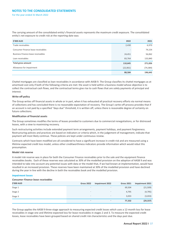The carrying amount of the consolidated entity's financial assets represents the maximum credit exposure. The consolidated entity's net exposure to credit risk at the reporting date was:

| <b>\$'000 AUD</b>                  | 2022     | 2021      |
|------------------------------------|----------|-----------|
| Trade receivables                  | 2,430    | 6,970     |
| Consumer Finance lease receivables |          | 74,154    |
| Business Finance lease receivables | 24,451   | 56,062    |
| Loan receivables                   | 83,764   | 133,840   |
| <b>Total gross amount</b>          | 110,645  | 271,026   |
| Allowance for impairment           | (22,061) | (74, 384) |
|                                    | 88,584   | 196,642   |

Chattel mortgages are classified as loan receivables in accordance with AASB 9. The Group classifies its chattel mortgages as at amortised cost only if both of the following criteria are met: the asset is held within a business model whose objective is to collect the contractual cash flows, and the contractual terms give rise to cash flows that are solely payments of principal and interest.

## **Write-off policy**

The Group writes off financial assets in whole or in part, when it has exhausted all practical recovery efforts via normal means of collections and has concluded there is no reasonable expectation of recovery. The Group's write-off process provides that if an account is not paid by a specified "days due" threshold, it is written off, unless there is reasonable degree of certainty on future collections.

## **Modification of financial assets**

The Group sometimes modifies the terms of leases provided to customers due to commercial renegotiations, or for distressed leases, with a view to maximising recovery.

Such restructuring activities include extended payment term arrangements, payment holidays, and payment forgiveness. Restructuring policies and practices are based on indicators or criteria which, in the judgement of management, indicate that payment will most likely continue. These policies are kept under continuous review.

Contracts which have been modified are all considered to have a significant increase in credit risk and are measured using a lifetime expected credit loss model, unless other creditworthiness indicators provide information which would rebut this presumption.

## **Model risk reserve**

A model risk reserve was in place for both the Consumer Finance receivables prior to the sale and the equipment finance receivables books. Each of these reserves was calculated as 30% of the modelled provision on the adoption of AASB 9 and was intended to take into account any potential issues with data or the model that, if we had known at implementation, would have resulted in an increased provision. These reserves have been maintained at 30% of the modelled provision and have declined during the year in line with the decline in both the receivables book and the modelled provision.

## *Impairment losses*

## *Consumer Finance lease receivables*

| <b>\$'000 AUD</b> | <b>Gross 2022</b>        | <b>Impairment 2022</b>   | <b>Gross 2021</b> | <b>Impairment 2021</b> |
|-------------------|--------------------------|--------------------------|-------------------|------------------------|
| Stage 1           | $\overline{\phantom{0}}$ | $\overline{\phantom{a}}$ | 69,504            | (21, 509)              |
| Stage 2           | $\overline{\phantom{0}}$ | $\overline{\phantom{0}}$ | 4,795             | (4, 795)               |
| Stage 3           | $\overline{\phantom{0}}$ | $\overline{\phantom{0}}$ | 3,033             | (3,033)                |
|                   | $\overline{\phantom{a}}$ | $\overline{\phantom{a}}$ | 77,332            | (29, 337)              |

The Group applies the AASB 9 three-stage approach to measuring expected credit losses which uses a 12-month loss for lease receivables in stage one and lifetime expected loss for lease receivables in stages 2 and 3. To measure the expected credit losses, lease receivables have been grouped based on shared credit risk characteristics and the days past due.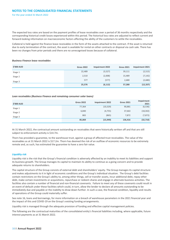The expected loss rates are based on the payment profiles of lease receivables over a period of 36 months respectively and the corresponding historical credit losses experienced within this period. The historical loss rates are adjusted to reflect current and forward-looking information on macroeconomic factors affecting the ability of the customers to settle the receivables.

Collateral is held against the finance lease receivables in the form of the assets attached to the contract. If the asset is returned due to early termination of the contract, the asset is available for rental on other contracts or disposal via cash sale. There has been no changes from prior periods and there are no unrecognised losses because of collateral.

## *Business Finance lease receivables*

| <b>\$'000 AUD</b> | <b>Gross 2022</b> | <b>Impairment 2022</b> | <b>Gross 2021</b> | <b>Impairment 2021</b> |
|-------------------|-------------------|------------------------|-------------------|------------------------|
| Stage 1           | 22,489            | (3,527)                | 39,111            | (2, 515)               |
| Stage 2           | 2,510             | (2,008)                | 15,489            | (7, 142)               |
| Stage 3           | 577               | (577)                  | 2,680             | (2,680)                |
|                   | 25,576            | (6, 112)               | 57,280            | (12, 337)              |

## *Loan receivables (Business Finance and remaining consumer solar loans)*

| <b>\$'000 AUD</b> | <b>Gross 2022</b> | <b>Impairment 2022</b> | <b>Gross 2021</b> | Impairment<br>2021 |
|-------------------|-------------------|------------------------|-------------------|--------------------|
| Stage 1           | 77,364            | (10, 329)              | 90,881            | (6, 536)           |
| Stage 2           | 6,840             | (4, 755)               | 37,663            | (18, 302)          |
| Stage 3           | 865               | (865)                  | 7,872             | (7, 872)           |
|                   | 85,069            | (15, 949)              | 136,416           | (32,710)           |

At 31 March 2022, the contractual amount outstanding on receivables that were historically written off and that are still subject to enforcement activity is \$14.7m.

Thorn has provided a guarantee, to the warehouse trust, against a group of affected trust receivables. The value of the receivables as at 31 March 2022 is \$17.2m. Thorn has deemed the risk of an outflow of economic resources to be extremely remote and, as such, has estimated the guarantee to have a zero fair value.

## *Liquidity risk*

Liquidity risk is the risk that the Group's financial condition is adversely affected by an inability to meet its liabilities and support its business growth. The Group manages its capital to maintain its ability to continue as a going concern and to provide adequate returns to shareholders.

The capital structure of the Group consists of external debt and shareholders' equity. The Group manages its capital structure and makes adjustments to it in light of economic conditions and the Group's individual situation. The Group's debt facilities contain restrictions on the Group's ability to, among other things, sell or transfer assets, incur additional debt, repay other debt, make certain investments or acquisitions, repurchase or redeem shares and engage in alternate business activities. The facilities also contain a number of financial and non-financial covenants. Failure to meet any of these covenants could result in an event of default under these facilities which could, in turn, allow the lender to declare all amounts outstanding to be immediately due and payable or the inability to draw down further. In such a case, the financial condition, liquidity and results of operations of the Group could materially suffer.

See note 16, loans and borrowings, for more information on a breach of warehouse parameters in the 2021 financial year and the impact of this and COVID-19 on the Group's existing funding arrangements.

Liquidity risk is managed through the adequate provision of funding and effective capital management policies.

The following are the contractual maturities of the consolidated entity's financial liabilities including, where applicable, future interest payments as at 31 March 2022.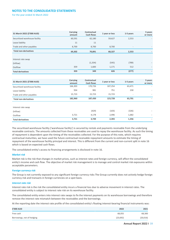## **NOTES TO THE CONSOLIDATED STATEMENTS**

For the year ended 31 March 2022

| 31 March 2022 (\$'000 AUD)     | Carrying<br>amount | Contractual<br><b>Cash flows</b> | 1 year or less | 1-5 years         | 5 years<br>or more       |
|--------------------------------|--------------------|----------------------------------|----------------|-------------------|--------------------------|
| Securitised warehouse facility | 60,591             | 62,180                           | 59,627         | 2,553             |                          |
| Lease liability                | 11                 | 11                               |                |                   |                          |
| Trade and other payables       | 8,700              | 8,700                            | 8,700          | $\qquad \qquad -$ |                          |
| <b>Total non-derivatives</b>   | 69,302             | 70,891                           | 68,327         | 2,553             |                          |
|                                |                    |                                  |                |                   |                          |
| Interest rate swap             |                    |                                  |                |                   |                          |
| (Inflow)                       |                    | (1, 334)                         | (545)          | (789)             | ۰.                       |
| Outflow                        | 359                | 1,683                            | 1,171          | 512               | ٠.                       |
| <b>Total derivatives</b>       | 359                | 349                              | 626            | (277)             | $\overline{\phantom{0}}$ |

| 31 March 2021 (\$'000 AUD)     | Carrying<br>amount | Contractual<br><b>Cash flows</b> | 1 year or less | 1-5 years                | 5 years<br>or more       |
|--------------------------------|--------------------|----------------------------------|----------------|--------------------------|--------------------------|
| Securitised warehouse facility | 166,303            | 170,726                          | 107,254        | 63,471                   |                          |
| Lease liability                | 934                | 981                              | 751            | 230                      | $\overline{\phantom{0}}$ |
| Trade and other payables       | 15,723             | 15,723                           | 15,723         | $\overline{\phantom{a}}$ |                          |
| <b>Total non-derivatives</b>   | 182,960            | 187,430                          | 123,728        | 63,701                   | ٠                        |
|                                |                    |                                  |                |                          |                          |
| Interest rate swap             |                    |                                  |                |                          |                          |
| (Inflow)                       |                    | (429)                            | (103)          | (326)                    | ٠                        |
| Outflow                        | 3,721              | 4,178                            | 2,496          | 1,682                    | ۰.                       |
| <b>Total derivatives</b>       | 3,721              | 3,749                            | 2,393          | 1,356                    | ۰.                       |

The securitised warehouse facility ('warehouse facility') is secured by rentals and payments receivable from the underlying receivable contracts. The amounts collected from these receivables are used to repay the warehouse facility. As such the timing of repayment is dependent upon the timing of the receivables collected. For the purpose of this note, which requires contractual maturities, we have used the future contractual receivable repayment amounts to estimate the timing of repayment of the warehouse facility principal and interest. This is different from the current and non-current split in note 16 which is based on expected cash flows.

The consolidated entity's access to financing arrangements is disclosed in note 16.

## *Market risk*

Market risk is the risk that changes in market prices, such as interest rates and foreign currency, will affect the consolidated entity's income and cash flow. The objective of market risk management is to manage and control market risk exposures within acceptable parameters.

## *Foreign currency risk*

The Group is not currently exposed to any significant foreign currency risks The Group currently does not actively hedge foreign currency risk and transacts in foreign currencies on a spot basis.

## *Interest rate risk*

Interest rate risk is the risk the consolidated entity incurs a financial loss due to adverse movement in interest rates. The consolidated entity is subject to interest rate risk on its warehouse facility.

The consolidated entity enters into interest rate swaps to fix the interest payments on its warehouse borrowings and therefore remove the interest rate mismatch between the receivables and the borrowings.

At the reporting date the interest rate profile of the consolidated entity's floating interest-bearing financial instruments was:

| <b>\$'000 AUD</b>          | 2022      | 2021     |
|----------------------------|-----------|----------|
| Free cash                  | 68,055    | 68,300   |
| Borrowings, net of hedging | (23, 692) | (20,016) |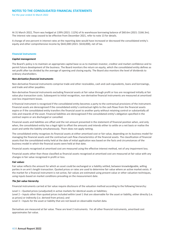At 31 March 2022, Thorn was hedged at 139% (2021: 112%) of its warehouse borrowing balance of \$60.6m (2021: \$166.3m). The interest rate swap ceased to be effective from December 2021, refer to note 13 for details.

A change of one percent in interest rates at the reporting date would have increased or decreased the consolidated entity's equity and other comprehensive income by \$642,000 (2021: \$618,000), net of tax.

## *Financial instruments*

#### *Capital management*

The Board's policy is to maintain an appropriate capital base so as to maintain investor, creditor and market confidence and to permit future development of the business. The Board monitors the return on equity, which the consolidated entity defines as net profit after tax divided by the average of opening and closing equity. The Board also monitors the level of dividends to ordinary shareholders.

## *Non-derivative financial instruments*

Non-derivative financial instruments comprise trade and other receivables, cash and cash equivalents, loans and borrowings, and trade and other payables.

Non-derivative financial instruments excluding financial assets at fair value through profit or loss are recognised initially at fair value plus transaction costs. Subsequent to initial recognition, non-derivative financial instruments are measured at amortised cost less impairment losses.

A financial instrument is recognised if the consolidated entity becomes a party to the contractual provisions of the instrument. Financial assets are derecognised if the consolidated entity's contractual rights to the cash flows from the financial assets expire or if the consolidated entity transfers the financial asset to another party without retaining control or substantially all risks and rewards of the asset. Financial liabilities are derecognised if the consolidated entity's obligation specified in the contract expire or are discharged or cancelled.

Financial assets and liabilities are offset and the net amount presented in the statement of financial position when, and only when, the consolidated entity has a legal right to offset the amounts and intends either to settle on a net basis or realise the asset and settle the liability simultaneously. Thorn does not apply netting.

The consolidated entity recognises its financial assets at either amortised cost or fair value, depending on its business model for managing the financial assets and the contractual cash flow characteristics of the financial assets. The classification of financial assets that the consolidated entity held at the date of initial application was based on the facts and circumstances of the business model in which the financial assets were held at that date.

Financial assets recognised at amortised cost are measured using the effective interest method, net of any impairment loss.

Financial assets other than those classified as financial assets recognised at amortised cost are measured at fair value with any changes in fair value recognised in profit or loss.

#### *Fair values*

Fair value reflects the amount for which an asset could be exchanged or a liability settled, between knowledgeable, willing parties in an arm's length transaction. Quoted prices or rates are used to determine fair value where an active market exists. If the market for a financial instrument is not active, fair values are estimated using present value or other valuation techniques, using inputs based on market conditions prevailing on the measurement date.

## *The fair value hierarchy*

Financial instruments carried at fair value require disclosure of the valuation method according to the following hierarchy:

Level 1 – Quoted prices (unadjusted) in active markets for identical assets or liabilities;

Level 2 – Inputs other than quoted prices included within Level 1 that are observable for the asset or liability, either directly (i.e. as prices) or indirectly (i.e. derived from prices); and

Level 3 – Inputs for the asset or liability that are not based on observable market data.

Derivatives are measured at fair value. These are level 2 instruments. For all other financial instruments, amortised cost approximates fair value.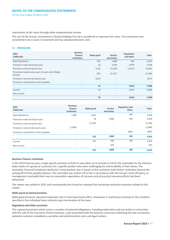## **NOTES TO THE CONSOLIDATED STATEMENTS**

For the year ended 31 March 2022

## *Investments at fair value through other comprehensive income*

The cost of the Group's investment in Quicka Holdings Pty Ltd is considered to represent fair value. The investment was considered to be a Level 2 investment and has subsequently been sold.

## **15. PROVISIONS**

| 2022<br><b>\$'000 AUD</b>                                        | <b>Business</b><br><b>Finance</b><br>restitution | Make good                | <b>Service</b><br>warranties | Regulatory<br>and Other  | Total    |
|------------------------------------------------------------------|--------------------------------------------------|--------------------------|------------------------------|--------------------------|----------|
| Opening balance                                                  | $\overline{\phantom{a}}$                         | 423                      | 1,808                        | 583                      | 2,814    |
| Provisions made during the year                                  | $\overline{\phantom{a}}$                         | 26                       | 1,029                        | 4,879                    | 5,934    |
| Provisions used during the year                                  | $\overline{\phantom{a}}$                         | (112)                    | (1,526)                      | (1, 417)                 | (3,055)  |
| Provisions transferred as part of asset sale of Radio<br>Rentals | $\overline{\phantom{a}}$                         | (35)                     | (1, 311)                     | $\overline{\phantom{a}}$ | (1, 346) |
| Provisions reversed during the year                              | $\overline{\phantom{a}}$                         | (257)                    | $\overline{\phantom{a}}$     | $\overline{\phantom{a}}$ | (257)    |
| Provisions reclassified to other payables                        | $\overline{\phantom{a}}$                         | $\overline{\phantom{a}}$ | $\overline{\phantom{a}}$     | $\overline{\phantom{a}}$ |          |
|                                                                  | $\overline{\phantom{a}}$                         | 45                       | $\blacksquare$               | 4,045                    | 4,090    |
| Current                                                          | $\overline{\phantom{a}}$                         | 45                       | $\overline{\phantom{a}}$     | 4,045                    | 4,090    |
| Non-current                                                      | $\overline{\phantom{a}}$                         | $\overline{\phantom{a}}$ | $\overline{\phantom{a}}$     | $\overline{\phantom{a}}$ |          |
|                                                                  |                                                  | 45                       | ٠                            | 4,045                    | 4,090    |

| 2021<br><b>\$'000 AUD</b>                 | <b>Business</b><br><b>Finance</b><br>restitution | Make good                | Service<br>warranties    | <b>Regulatory and</b><br>Other | <b>Total</b> |
|-------------------------------------------|--------------------------------------------------|--------------------------|--------------------------|--------------------------------|--------------|
| Opening balance                           | 1,689                                            | 1,635                    |                          | 605                            | 3,929        |
| Provisions made during the year           | $\overline{\phantom{a}}$                         | 18                       | 1,808                    | 583                            | 2,409        |
| Provisions used during the year           | $\overline{\phantom{a}}$                         | (1,230)                  | $\overline{\phantom{a}}$ | $\overline{\phantom{a}}$       | (1,230)      |
| Provisions reversed during the year       | (1,689)                                          | $\overline{\phantom{a}}$ | $\overline{\phantom{a}}$ | $\overline{\phantom{a}}$       | (1,689)      |
| Provisions reclassified to other payables | $\overline{\phantom{a}}$                         | $\overline{\phantom{a}}$ | $\overline{\phantom{a}}$ | (605)                          | (605)        |
|                                           |                                                  | 423                      | 1,808                    | 583                            | 2,814        |
| Current                                   |                                                  | 423                      | 938                      | 583                            | 1,944        |
| Non-current                               | $\overline{\phantom{a}}$                         | $\overline{\phantom{a}}$ | 870                      |                                | 870          |
|                                           | $\overline{\phantom{a}}$                         | 423                      | 1,808                    | 583                            | 2,814        |

## *Business Finance restitution*

In the 2019 financial year a large specific provision of \$10.1m was taken up to provide in full for the receivable for the industrywide matter of a group of customers for a specific product who were challenging the enforceability of their leases. The Australian Financial Complaints Authority's initial position was in favour of the customers with further restitution beyond the writing off of their payable balance. The receivable was written off in full, in accordance with the Group's write off policy, as management concluded there was no reasonable expectation of recovery and all practical recovery efforts had been exhausted.

The matter was settled in 2021 and consequently the Group has released the remaining restitution provision related to this matter.

## *Make good on leased premises*

Make good provision represent expected costs of returning leased office, showroom or warehouse premises to the condition specified in the individual lease contracts upon termination of the lease.

## *Regulatory and Other provision*

This a general provision which covers a number of potential obligations, including indemnities and warranties in connection with the sale of the Consumer Finance business, costs associated with the business restructure following the sale transaction, potential customer remediation, penalties and administration costs and legal matters.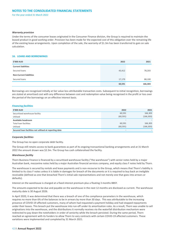## *Warranty provision*

Under the terms of the consumer leases originated in the Consumer Finance division, the Group is required to maintain the leased product in good working order. Provision has been made for the expected cost of this obligation over the remaining life of the existing lease arrangements. Upon completion of the sale, the warranty of \$1.3m has been transferred to gain on sale calculation.

## **16. LOANS AND BORROWINGS**

| \$'000 AUD                     | 2022   | 2021    |
|--------------------------------|--------|---------|
| <b>Current liabilities</b>     |        |         |
| Secured loans                  | 43,412 | 78,203  |
| <b>Non-Current liabilities</b> |        |         |
| Secured loans                  | 17,179 | 88,100  |
|                                | 60,591 | 166,303 |

Borrowings are recognised initially at fair value less attributable transaction costs. Subsequent to initial recognition, borrowings are stated at amortised cost with any difference between cost and redemption value being recognised in the profit or loss over the period of the borrowings on an effective interest basis.

## *Financing facilities*

| <b>\$'000 AUD</b>                                      | 2022                     | 2021       |
|--------------------------------------------------------|--------------------------|------------|
| Securitised warehouse facility                         | 60,591                   | 166,303    |
| Utilised                                               | (60, 591)                | (166, 303) |
| Available headroom                                     | $\sim$                   |            |
| Total loan facilities                                  | 60,591                   | 166,303    |
| Utilised                                               | (60, 591)                | (166, 303) |
| Secured loan facilities not utilised at reporting date | $\overline{\phantom{a}}$ |            |

## *Corporate facilities*

The Group has no open corporate debt facility.

The Group still retains access to bank guarantees as part of its ongoing transactional banking arrangements and at 31 March 2022 the amount drawn was \$2.3m. The Group has cash collateralised the facility.

## *Warehouse facility*

Thorn Business Finance is financed by a securitised warehouse facility ("the warehouse") with senior notes held by a major Australian bank, mezzanine notes held by a major Australian financial services company, and equity class F notes held by Thorn.

The warehouse is secured by rentals and lease payments and is non-recourse to the Group, which means that Thorn's liability is limited to its class F notes unless it is liable in damages for breach of the documents or it is required to buy back an ineligible receivable (defined as one that breached Thorn's initial sale representations and not merely one that goes into arrears or defaults).

Interest on the warehouse is charged at a fixed interest premium plus a floating 3 months BBSY.

The amounts expected to be due and payable on the warehouse in the next 12 months are disclosed as current. The warehouse maturity date is 30 August 2026.

In April 2020, it was determined that there was a breach of one of the compliance parameters in the warehouse, which requires no more than 6% of the balances to be in arrears by more than 30 days. This was attributable to the increasing presence of COVID-19 affected customers, many of whom had requested a payment holiday and had stopped repayments under their leases. This breach put the warehouse into run-off under its amortisation rules. As a result, Thorn was unable to sell originations into the warehouse, and the distributions it normally receives via the waterfall distribution mechanism were redirected to pay down the noteholders in order of seniority while the breach persisted. During the same period, Thorn reached an agreement with its funders to allow Thorn to vary contracts with certain COVID-19 affected customers. These variations were implemented and completed by 31 March 2021.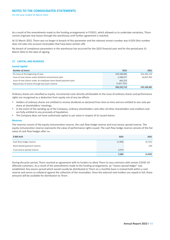As a result of the amendments made to the funding arrangements in FY2021, which allowed us to undertake variations, Thorn cannot originate new leases through the warehouse until further agreement is reached.

At 31 March 2022, Thorn was no longer in breach of this parameter and the relevant arrears number was 4.02% (this number does not take into account receivables that have been written off).

No breach of compliance parameters in the warehouse has occurred for the 2022 financial year and for the period post 31 March 2022 to the date of signing.

## **17. CAPITAL AND RESERVES**

#### *Issued capital*

| <b>Number of shares</b>                                        | 2022        | 2021        |
|----------------------------------------------------------------|-------------|-------------|
| On issue at the beginning of year                              | 339,188,085 | 322,350,132 |
| Issue of new shares under dividend reinvestment plan           | 2,398,077   | 16,837,953  |
| Issue of new shares under an employee share based payment plan | 464.253     |             |
| Repurchase of shares through buy-back scheme                   | (1,857,701) |             |
|                                                                | 340,192,714 | 339,188,085 |

Ordinary shares are classified as equity. Incremental costs directly attributable to the issue of ordinary shares and performance rights are recognised as a deduction from equity net of any tax effects.

- Holders of ordinary shares are entitled to receive dividends as declared from time to time and are entitled to one vote per share at shareholders' meetings.
- In the event of the winding up of the Company, ordinary shareholders rank after all other shareholders and creditors and are fully entitled to any proceeds of liquidation.
- The Company does not have authorised capital or par value in respect of its issued shares.

#### *Reserves*

The reserves consist of the equity remuneration reserve, the cash flow hedge reserve and trust excess spread reserve. The equity remuneration reserve represents the value of performance rights issued. The cash flow hedge reserve consists of the fair value of cash flow hedges after tax.

| <b>\$'000 AUD</b>           | 2022     | 2021                     |
|-----------------------------|----------|--------------------------|
| Cash flow hedge reserve     | (1, 369) | (3, 721)                 |
| Share-based payment reserve |          | 229                      |
| Trust excess spread reserve | 6,974    | $\overline{\phantom{0}}$ |
|                             | 5,605    | (3, 492)                 |

During the prior period, Thorn reached an agreement with its funders to allow Thorn to vary contracts with certain COVID-19 affected customers. As a result of the amendments made to the funding arrangements, an "excess spread ledger" was established. Any excess spread which would usually be distributed to Thorn on a monthly basis is instead held within a cash reserve and serves as collateral against the collection of the receivables. Once the external note holders are repaid in full, these amounts will be available for distribution to Thorn.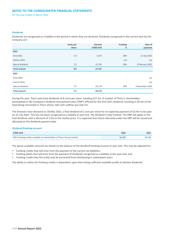## *Dividends*

Dividends are recognised as a liability in the period in which they are declared. Dividends recognised in the current year by the Company are:

|                     | Cents per                | Amount                   | Franking                 | Date of         |
|---------------------|--------------------------|--------------------------|--------------------------|-----------------|
|                     | Share                    | \$'000 AUD               | %                        | payment         |
| 2022                |                          |                          |                          |                 |
| <b>Final 2021</b>   | 1.0                      | 3,375                    | 30%                      | 21 July 2021    |
| Interim 2022        | $\overline{\phantom{a}}$ | $\overline{\phantom{a}}$ | n/a                      | n/a             |
| Special dividend    | 7.0                      | 23,792                   | 30%                      | 9 February 2022 |
| <b>Total amount</b> | 8.0                      | 27,167                   |                          |                 |
| 2021                |                          |                          |                          |                 |
| <b>Final 2020</b>   | $\overline{\phantom{a}}$ | $\overline{\phantom{a}}$ | $\overline{\phantom{a}}$ | n/a             |
| Interim 2021        | $\overline{\phantom{a}}$ | $\overline{\phantom{a}}$ | $\overline{\phantom{a}}$ | n/a             |
| Special dividend    | 7.5                      | 24,176                   | 30%                      | 3 November 2020 |
| <b>Total amount</b> | 7.5                      | 24,176                   |                          |                 |

During the year, Thorn paid total dividends of 8 cents per share, totalling \$27.2m. A number of Thorn's shareholders participated in the Company's dividend reinvestment plan ('DRP') offered for the final 2021 dividend, resulting in \$0.5m of the total being reinvested in Thorn shares. Net cash outflow was \$26.7m.

The Directors have declared on 30 May 2022, a final dividend of 1 cent per share for an expected payment of \$3.4m to be paid on 25 July 2022. This has not been recognised as a liability at year end. The dividend is fully franked. The DRP will apply to the final dividend, with a discount of 2.5% to the market price. It is expected that shares allocated under the DRP will be issued and allocated on the dividend payment date.

## *Dividend franking account*

| <b>S'000 AUD</b>                                                      | 2022   | 2021   |
|-----------------------------------------------------------------------|--------|--------|
| 30% franking credits available to shareholders of Thorn Group Limited | 16.435 | 28.346 |

The above available amounts are based on the balance of the dividend franking account at year-end. This may be adjusted for:

- franking credits that will arise from the payment of the current tax liabilities;
- franking debits that will arise from the payment of dividends recognised as a liability at the year-end; and
- franking credits that the entity may be prevented from distributing in subsequent years.

The ability to utilise the franking credits is dependent upon there being sufficient available profits to declare dividends.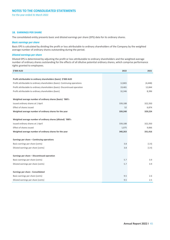## **18. EARNINGS PER SHARE**

The consolidated entity presents basic and diluted earnings per share (EPS) data for its ordinary shares.

## *Basic earnings per share*

Basic EPS is calculated by dividing the profit or loss attributable to ordinary shareholders of the Company by the weighted average number of ordinary shares outstanding during the period.

## *Diluted earnings per share*

Diluted EPS is determined by adjusting the profit or loss attributable to ordinary shareholders and the weighted average number of ordinary shares outstanding for the effects of all dilutive potential ordinary shares, which comprise performance rights granted to employees.

| \$'000 AUD                                                                   | 2022    | 2021     |
|------------------------------------------------------------------------------|---------|----------|
|                                                                              |         |          |
| Profit attributable to ordinary shareholders (basic) \$'000 AUD              |         |          |
| Profit attributable to ordinary shareholders (basic)- Continuing operations  | 12,865  | (4, 448) |
| Profit attributable to ordinary shareholders (basic)- Discontinued operation | 19,481  | 12,844   |
| Profit attributable to ordinary shareholders (basic)                         | 32,346  | 8,396    |
| Weighted average number of ordinary shares (basic) '000's                    |         |          |
| Issued ordinary shares at 1 April                                            | 339,188 | 322,350  |
| Effect of shares issued                                                      | 52      | 6,874    |
| Weighted average number of ordinary shares for the year                      | 339,240 | 329,224  |
| Weighted average number of ordinary shares (diluted) '000's                  |         |          |
| Issued ordinary shares at 1 April                                            | 339,188 | 322,350  |
| Effect of shares issued                                                      | 1,075   | 9,066    |
| Weighted average number of ordinary shares for the year                      | 340,263 | 331,416  |
| Earnings per share - Continuing operations                                   |         |          |
| Basic earnings per share (cents)                                             | 3.8     | (1.4)    |
| Diluted earnings per share (cents)                                           | 3.8     | (1.4)    |
| Earnings per share - Discontinued operation                                  |         |          |
| Basic earnings per share (cents)                                             | 5.7     | 3.9      |
| Diluted earnings per share (cents)                                           | 5.7     | 3.9      |
|                                                                              |         |          |
| Earnings per share - Consolidated                                            |         |          |
| Basic earnings per share (cents)                                             | 9.5     | 2.6      |
| Diluted earnings per share (cents)                                           | 9.5     | 2.5      |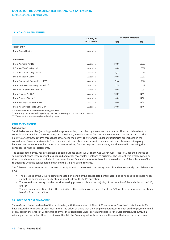## **19. CONSOLIDATED ENTITIES**

|                                       | Country of    | <b>Ownership Interest</b> |      |
|---------------------------------------|---------------|---------------------------|------|
|                                       | Incorporation | 2022                      | 2021 |
| <b>Parent entity</b>                  |               |                           |      |
| Thorn Group Limited                   | Australia     |                           |      |
|                                       |               |                           |      |
| <b>Subsidiaries</b>                   |               |                           |      |
| Thorn Australia Pty Ltd               | Australia     | 100%                      | 100% |
| A.C.N. 647 764 510 Pty Ltd            | Australia     | 100%                      | 100% |
| A.C.N. 647 765 571 Pty Ltd***         | Australia     | N/A                       | 100% |
| Thornmoney Pty Ltd**                  | Australia     | 100%                      | 100% |
| Thorn Equipment Finance Pty Ltd***    | Australia     | N/A                       | 100% |
| Thorn Business Finance Pty Limited*** | Australia     | N/A                       | 100% |
| Thorn ABS Warehouse Trust No. 1       | Australia     | 100%                      | 100% |
| Thorn Finance Pty Ltd*                | Australia     | 100%                      | N/A  |
| Thorn Services Pty Ltd*               | Australia     | 100%                      | N/A  |
| Thorn Employee Services Pty Ltd*      | Australia     | 100%                      | N/A  |
| Thorn Administration No.1 Pty Ltd*    | Australia     | 100%                      | N/A  |

\*These entities were incorporated during the year

\*\* The entity had a name change during the year, previously A.C.N. 648 650 711 Pty Ltd

\*\*\*These entities were de-registered during the year

## *Basis of consolidation*

## *Subsidiaries*

Subsidiaries are entities (including special purpose entities) controlled by the consolidated entity. The consolidated entity controls an entity when it is exposed to, or has rights to, variable returns from its involvement with the entity and has the ability to affect those returns through its power over the entity. The financial results of subsidiaries are included in the consolidated financial statements from the date that control commences until the date that control ceases. Intra-group balances, and any unrealised income and expenses arising from intra-group transactions, are eliminated in preparing the consolidated financial statements.

The consolidated entity has established a special purpose entity (SPE), Thorn ABS Warehouse Trust No.1, for the purpose of securitising finance lease receivables acquired and other receivables it intends to originate. The SPE entity is wholly owned by the consolidated entity and included in the consolidated financial statements, based on the evaluation of the substance of its relationship with the consolidated entity and the SPE's risks and rewards.

The following circumstances indicate a relationship in which the consolidated entity controls and subsequently consolidates the  $SPF$ 

- The activities of the SPE are being conducted on behalf of the consolidated entity according to its specific business needs so that the consolidated entity obtains benefits from the SPE's operation;
- The consolidated entity has the decision-making powers to obtain the majority of the benefits of the activities of the SPE; and/or
- The consolidated entity retains the majority of the residual ownership risks of the SPE or its assets in order to obtain benefits from its activities.

## **20. DEED OF CROSS GUARANTEE**

Thorn Group Limited and each of the subsidiaries, with the exception of Thorn ABS Warehouse Trust No.1, listed in note 19 have entered into a Deed of Cross Guarantee. The effect of this is that the Company guarantees to each creditor payment in full of any debt in the event of winding up of any of the subsidiaries under certain provisions of the Corporations Act 2001. If a winding up occurs under other provisions of the Act, the Company will only be liable in the event that after six months any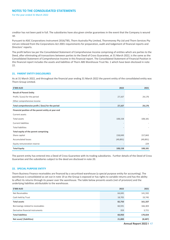creditor has not been paid in full. The subsidiaries have also given similar guarantees in the event that the Company is wound up.

Pursuant to ASIC Corporations Instrument 2016/785, Thorn Australia Pty Limited, Thornmoney Pty Ltd and Thorn Services Pty Ltd are relieved from the Corporations Act 2001 requirements for preparation, audit and lodgement of financial reports and Directors' reports.

The profit before tax per the Consolidated Statement of Comprehensive Income comprising of entities which are parties to the Deed, after eliminating all transactions between parties to the Deed of Cross Guarantee, at 31 March 2022, is the same as the Consolidated Statement of Comprehensive Income in this financial report. The Consolidated Statement of Financial Position in this financial report includes the assets and liabilities of Thorn ABS Warehouse Trust No. 1 which have been disclosed in note 22.

## **21. PARENT ENTITY DISCLOSURES**

As at 31 March 2022, and throughout the financial year ending 31 March 2022 the parent entity of the consolidated entity was Thorn Group Limited.

| <b>\$'000 AUD</b>                                   | 2022      | 2021      |
|-----------------------------------------------------|-----------|-----------|
| <b>Result of Parent Entity</b>                      |           |           |
| Profit / (Loss) for the period                      | 27,167    | 24,176    |
| Other comprehensive income                          |           |           |
| Total comprehensive profit / (loss) for the period  | 27,167    | 24,176    |
| Financial position of the parent entity at year end |           |           |
| Current assets                                      |           |           |
| Total assets                                        | 108,158   | 108,181   |
| <b>Current liabilities</b>                          |           |           |
| <b>Total liabilities</b>                            |           |           |
| Total equity of the parent comprising               |           |           |
| Share capital                                       | 158,049   | 157,843   |
| <b>Accumulated losses</b>                           | (49, 891) | (49, 891) |
| Equity remuneration reserve                         |           | 229       |
| <b>Total Equity</b>                                 | 108,158   | 108,181   |

The parent entity has entered into a Deed of Cross Guarantee with its trading subsidiaries. Further details of the Deed of Cross Guarantee and the subsidiaries subject to the deed are disclosed in note 20.

## **22. SPECIAL PURPOSE ENTITY**

Thorn Business Finance receivables are financed by a securitised warehouse (a special purpose entity for accounting). The warehouse is consolidated as set out in note 19 as the Group is exposed or has rights to variable returns and has the ability to affect its returns through its power over the warehouse. The table below presents assets (net of provision) and the underlying liabilities attributable to the warehouse.

| <b>\$'000 AUD</b>                 | 2022   | 2021    |
|-----------------------------------|--------|---------|
| Net Receivables                   | 64,045 | 141,592 |
| Cash held by Trust                | 18,705 | 19,745  |
| <b>Total assets</b>               | 82,750 | 161,337 |
| Borrowings related to receivables | 60,591 | 166,303 |
| Derivative financial instruments  | 359    | 3,721   |
| <b>Total liabilities</b>          | 60,950 | 170,024 |
| Net asset/ (liabilities)          | 21,800 | (8,687) |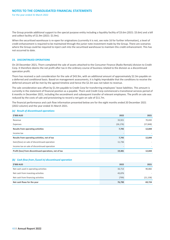The Group provide additional support to the special purpose entity including a liquidity facility of \$3.6m (2021: \$3.6m) and a bill and collect facility of \$1.9m (2021: \$1.9m).

When the securitised warehouse is re-open for originations (currently it is not, see note 16 for further information), a level of credit enhancement is required to be maintained through the junior note investment made by the Group. There are scenarios where the Group could be required to inject cash into the securitised warehouse to maintain this credit enhancement. This has not occurred to date.

## **23. DISCONTINUED OPERATIONS**

On 20 December 2021, Thorn completed the sale of assets attached to the Consumer Finance (Radio Rentals) division to Credit Corp. It therefore deems the net profit after tax in the ordinary course of business related to the division as a discontinued operation profit.

Thorn has received a cash consideration for the sale of \$43.9m, with an additional amount of approximately \$2.3m payable on a deferred and conditional basis. Based on management assessments, it is highly improbable that the conditions to receive the deferred amount will be met by the agreed timeline and hence the \$2.3m was not taken to revenue.

The sale consideration was offset by \$1.4m payable to Credit Corp for transferring employees' leave liabilities. This amount is currently in the statement of financial position as a payable. Thorn and Credit Corp commenced a transitional services period of 6 months in December 2021, including the secondment and subsequent transfer of relevant employees. The profit on sale was reduced by the costs of sale and provisioning to record a net gain on sale of \$11.7m.

The financial performance and cash flow information presented below are for the eight months ended 20 December 2021 (2022 column) and the year ended 31 March 2021.

## *(a) Result of discontinued operations*

| <b>\$'000 AUD</b>                                      | 2022      | 2021      |
|--------------------------------------------------------|-----------|-----------|
| Revenue                                                | 33,921    | 70,692    |
| Expenses                                               | (26, 176) | (57, 848) |
| <b>Results from operating activities</b>               | 7,745     | 12,844    |
| Income tax                                             |           |           |
| Results from operating activities, net of tax          | 7,745     | 12,844    |
| Gain/(loss) on sale of discontinued operation          | 11,736    |           |
| Income tax on sale of discontinued operation           |           |           |
| Profit (loss) from discontinued operations, net of tax | 19,481    | 12,844    |

## *(b) Cash flow from /(used in) discontinued operation*

| <b>\$'000 AUD</b>                     | 2022   | 2021                     |
|---------------------------------------|--------|--------------------------|
| Net cash used in operating activities | 33,713 | 90,882                   |
| Net cash from investing activities    | 43,876 | $\overline{\phantom{a}}$ |
| Net cash from financing activities    | (799)  | (21, 158)                |
| Net cash flows for the year           | 76,790 | 69,724                   |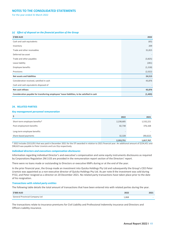## **NOTES TO THE CONSOLIDATED STATEMENTS**

For the year ended 31 March 2022

## *(c) Effect of disposal on the financial position of the Group*

| <b>\$'000 AUD</b>                                                                            | 2022                     |
|----------------------------------------------------------------------------------------------|--------------------------|
| Cash and cash equivalents                                                                    | (65)                     |
| Inventory                                                                                    | 209                      |
| Trade and other receivables                                                                  | 31,815                   |
| Deferred tax asset                                                                           | $\overline{\phantom{a}}$ |
| Trade and other payables                                                                     | (3,825)                  |
| Lease liability                                                                              | (281)                    |
| <b>Employee benefits</b>                                                                     | (1, 318)                 |
| Provisions                                                                                   | (2,022)                  |
| Net assets and liabilities                                                                   | 24,513                   |
| Consideration received, satisfied in cash                                                    | 43,876                   |
| Cash and cash equivalents disposed of                                                        |                          |
| Net cash inflows                                                                             | 43,876                   |
| Consideration payable for transferring employees' leave liabilities, to be satisfied in cash | (1,403)                  |

## **24. RELATED PARTIES**

#### *Key management personnel remuneration*

| \$                            | 2022      | 2021      |
|-------------------------------|-----------|-----------|
| Short-term employee benefits* | 2,238,685 | 1,532,221 |
| Post-employment benefits      | 82,738    | 376,168   |
| Long-term employee benefits   |           |           |
| Share-based payments          | 32,328    | (90, 622) |
|                               | 2,353,751 | 1,817,767 |

\* 2022 includes \$313,051 that was paid in December 2021 for the STI awarded in relation to 2021 financial year. An additional amount of \$234,451 and \$98,623 was payable to Peter Lirantzis and Luis Orp respectively.

#### *Individual directors and executives compensation disclosures*

Information regarding individual Director's and executive's compensation and some equity instruments disclosures as required by Corporations Regulation 2M.3.03 are provided in the remuneration report section of the Directors' report.

There were no loans made or outstanding to Directors or executive KMPs during or at the end of the year.

In the prior financial year, the Group made an investment into Quicka Holdings Pty Ltd and subsequently the Group's CEO Peter Lirantzis was appointed as a non-executive director of Quicka Holdings Pty Ltd. As per note 8 the investment was sold during FY22, and Peter resigned as a director on 20 December 2021. No related party transactions have taken place prior to the date of his resignation.

## *Transactions with related party entities*

The following table details the total amount of transactions that have been entered into with related parties during the year.

| <b>\$'000 AUD</b>              | 2022  | 2021 |
|--------------------------------|-------|------|
| General Provincial Company Ltd | 1,868 |      |

The transactions relate to insurance premiums for Civil Liability and Professional Indemnity insurance and Directors and Officers Liability insurance.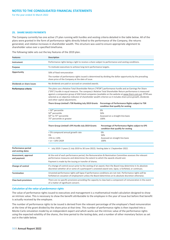## **25. SHARE BASED PAYMENTS**

The Company currently has one active LTI plan running with hurdles and vesting criteria detailed in the table below. All of the plans were granted in the form of performance rights directly linked to the performance of the Company, the returns generated, and relative increases in shareholder wealth. This structure was used to ensure appropriate alignment to shareholder value over a specified timeframe.

The following table sets out the key features of the 2019 plan.

| <b>Features</b>                         | <b>Description</b>                                                                                                                                                                                                                                                                                                                                                                                                                                                                      |                                                                                                                                                                                                                           |  |  |
|-----------------------------------------|-----------------------------------------------------------------------------------------------------------------------------------------------------------------------------------------------------------------------------------------------------------------------------------------------------------------------------------------------------------------------------------------------------------------------------------------------------------------------------------------|---------------------------------------------------------------------------------------------------------------------------------------------------------------------------------------------------------------------------|--|--|
| Instrument                              |                                                                                                                                                                                                                                                                                                                                                                                                                                                                                         | Performance rights being a right to receive a share subject to performance and vesting conditions.                                                                                                                        |  |  |
| Purpose                                 |                                                                                                                                                                                                                                                                                                                                                                                                                                                                                         | To motivate executives to achieve long term performance targets.                                                                                                                                                          |  |  |
| Opportunity                             | 50% of fixed remuneration                                                                                                                                                                                                                                                                                                                                                                                                                                                               |                                                                                                                                                                                                                           |  |  |
|                                         | share price of the Company at the date of issue.                                                                                                                                                                                                                                                                                                                                                                                                                                        | The number of performance rights issued is determined by dividing the dollar opportunity by the prevailing                                                                                                                |  |  |
| Dividends or share issues               |                                                                                                                                                                                                                                                                                                                                                                                                                                                                                         | No dividends are paid or accrued on unvested awards.                                                                                                                                                                      |  |  |
| Performance criteria                    | The plans use a Relative Total Shareholder Return ("RTSR") performance hurdle and an Earnings Per Share<br>("EPS") hurdle in equal measure. The company's Relative Total Shareholder Return performance is measured<br>against a comparator group of ASX listed companies (available on the website at www.thorn.com.au). RTSR was<br>selected as an objective indicator of shareholder wealth criterion as it includes share price growth, dividends<br>and other capital adjustments. |                                                                                                                                                                                                                           |  |  |
|                                         | Thorn Group Limited's TSR Ranking July 2019 Grants                                                                                                                                                                                                                                                                                                                                                                                                                                      | Percentage of Performance Rights subject to TSR<br>condition that qualify for vesting                                                                                                                                     |  |  |
|                                         | $< 50th$ percentile                                                                                                                                                                                                                                                                                                                                                                                                                                                                     | 0%                                                                                                                                                                                                                        |  |  |
|                                         | 50 <sup>th</sup> percentile                                                                                                                                                                                                                                                                                                                                                                                                                                                             | 50%                                                                                                                                                                                                                       |  |  |
|                                         | 50 <sup>th</sup> to 75 <sup>th</sup> percentile                                                                                                                                                                                                                                                                                                                                                                                                                                         | Assessed on a straight-line basis                                                                                                                                                                                         |  |  |
|                                         | 75 <sup>th</sup> percentile or greater                                                                                                                                                                                                                                                                                                                                                                                                                                                  | 100%                                                                                                                                                                                                                      |  |  |
|                                         | Thorn Group Limited's EPS Hurdle July 2019 Grants                                                                                                                                                                                                                                                                                                                                                                                                                                       | Percentage of Performance Rights subject to EPS<br>condition that qualify for vesting                                                                                                                                     |  |  |
|                                         | <5% compound annual growth rate                                                                                                                                                                                                                                                                                                                                                                                                                                                         | 0%                                                                                                                                                                                                                        |  |  |
|                                         | 5%                                                                                                                                                                                                                                                                                                                                                                                                                                                                                      | 50%                                                                                                                                                                                                                       |  |  |
|                                         | >5% to <10%                                                                                                                                                                                                                                                                                                                                                                                                                                                                             | Assessed on straight line basis                                                                                                                                                                                           |  |  |
|                                         | $=$ or $> 10\%$ CAGR                                                                                                                                                                                                                                                                                                                                                                                                                                                                    | 100%                                                                                                                                                                                                                      |  |  |
| Performance period<br>and vesting dates | July 2019: 3 years (1 July 2019 to 30 June 2022). Vesting date is 1 September 2022.                                                                                                                                                                                                                                                                                                                                                                                                     |                                                                                                                                                                                                                           |  |  |
| Assessment, approval<br>and payment     |                                                                                                                                                                                                                                                                                                                                                                                                                                                                                         | At the end of each performance period, the Remuneration & Nomination Committee assesses the relevant<br>performance measures and determines the extent to which the awards should vest.                                   |  |  |
|                                         | Payment is made by the issuing or transfer of shares.                                                                                                                                                                                                                                                                                                                                                                                                                                   |                                                                                                                                                                                                                           |  |  |
| Change of control                       |                                                                                                                                                                                                                                                                                                                                                                                                                                                                                         | If a change of control occurs prior to the vesting of an award, then the Board may determine in its absolute<br>discretion whether all or some of a participant's unvested award vest, lapse, is forfeited, or continues. |  |  |
| <b>Termination</b>                      |                                                                                                                                                                                                                                                                                                                                                                                                                                                                                         | Unvested performance rights will lapse if performance conditions are not met. Performance rights will be<br>forfeited on cessation of employment unless the Board determines at its absolute discretion otherwise.        |  |  |
| <b>Claw back provisions</b>             | of a matter of significant concern.                                                                                                                                                                                                                                                                                                                                                                                                                                                     | There are no specific provisions providing the capacity to claw back a component of remuneration in the event                                                                                                             |  |  |

## *Calculation of the value of performance rights*

The value of performance rights issued to executives and management is a mathematical model calculation designed to show an intrinsic value. This is necessary to show the benefit attributable to the employee in the year of issue but before that benefit is actually received by the employee.

The number of performance rights to be issued is derived from the relevant percentage of the employee's fixed remuneration at the time of the grant divided by the share price at that time. This number of performance rights is then inputted into a Monte Carlo simulation model by an independent expert and which works out the intrinsic value of the performance rights using the expected volatility of the shares, the time period to the testing date, and a number of other monetary factors as set out in the table below.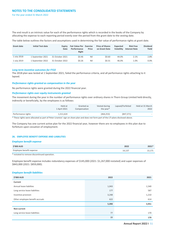The end result is an intrinsic value for each of the performance rights which is recorded in the books of the Company by allocating the expense to each reporting period evenly over the period from the grant date to the vesting date.

The table below outlines the factors and assumptions used in determining the fair value of performance rights at grant date.

| Grant date  | <b>Initial Test date</b> | Expiry<br>Date  | Fair Value Per Exercise<br>Performance<br>Right | Price | <b>Price of Shares</b><br>on Grant Date | Expected<br><b>Volatility</b> | <b>Risk Free</b><br><b>Interest Rate</b> | <b>Dividend</b><br>Yield |
|-------------|--------------------------|-----------------|-------------------------------------------------|-------|-----------------------------------------|-------------------------------|------------------------------------------|--------------------------|
| 1 July 2018 | 1 September 2021         | 31 October 2021 | \$0.46                                          | Nil   | \$0.60                                  | 44.0%                         | 2.1%                                     | 2.8%                     |
| 1 July 2019 | 1 September 2022         | 31 October 2022 | \$0.26                                          | Nil   | \$0.31                                  | 46.0%                         | 1.0%                                     | $0.0\%$                  |

## *Long term incentive outcomes for FY22*

The 2018 plan was tested at 1 September 2021, failed the performance criteria, and all performance rights attaching to it lapsed.

## *Performance rights granted as compensation in the year*

No performance rights were granted during the 2022 financial year.

## *Performance rights over equity instruments granted*

The movement during the year in the number of performance rights over ordinary shares in Thorn Group Limited held directly, indirectly or beneficially, by the employees is as follows:

|                    | Held at<br>1 April 2021 | Granted as<br>Compensation | Vested during<br>the year* | Lapsed/Forfeited | Held at 31 March<br>2022 |
|--------------------|-------------------------|----------------------------|----------------------------|------------------|--------------------------|
| Performance rights | 1,311,624               | $\sim$                     | (464, 253)                 | (847.371)        |                          |

\* These rights were allocated as part of Peter Lirantzis' sign on share plan and does not form part of the LTI plans disclosed above.

The Company has one current active plan for the 2022 financial year, however there are no employees in this plan due to forfeiture upon cessation of employment.

#### **26. EMPLOYEE BENEFIT EXPENSE AND LIABILITIES**

#### *Employee benefit expense*

| <b>\$'000 AUD</b>        | 2022   | 2021                                      |
|--------------------------|--------|-------------------------------------------|
| Employee benefit expense | 14,137 | $\overline{\phantom{a}}$<br><b>TO'T\T</b> |
|                          |        |                                           |

\* restated to remove discontinued operation.

Employee benefit expense includes redundancy expenses of \$145,000 (2021: \$1,267,000 restated) and super expenses of \$843,000 (2021: \$859,000).

#### *Employee benefit liabilities*

| <b>\$'000 AUD</b>               | 2022  | 2021  |
|---------------------------------|-------|-------|
| Current                         |       |       |
| Annual leave liabilties         | 1,043 | 1,540 |
| Long service leave liabilities  | 177   | 587   |
| Incentive provision             | 3,248 | 1,210 |
| Other employee benefit accruals | 622   | 614   |
|                                 | 5,090 | 3,951 |
| Non-current                     |       |       |
| Long service leave liabilities  | 77    | 170   |
|                                 | 77    | 170   |

**Annual Report 2022 I 51**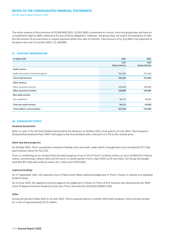The entire amount of the provision of \$5,090,000 (2021: \$3,951,000) is presented as current, since the group does not have an unconditional right to defer settlement for any of these obligations. However, the group does not expect all employees to take the full amount of accrued leave or require payment within the next 12 months. Total amount of \$1,155,000 is not expected to be paid in the next 12 months (2021: \$1,148,000).

## **27. AUDITORS' REMUNERATION**

| In whole AUD                          | 2022                 | 2021                 |
|---------------------------------------|----------------------|----------------------|
|                                       | <b>UHY</b>           | <b>UHY</b>           |
|                                       | <b>Haines Norton</b> | <b>Haines Norton</b> |
| <b>Audit services</b>                 |                      |                      |
| Audit and review of financial reports | 356,283              | 375,000              |
| <b>Total Audit Services</b>           | 356,283              | 375,000              |
| Other services                        |                      |                      |
| Other assurance services              | 100,800              | 100,000              |
| Other assurance services              | 100,800              | 100,000              |
| Non audit services                    |                      |                      |
| Tax compliance                        | 96,213               | 50,000               |
| <b>Total non-audit services</b>       | 96,213               | 50,000               |
| Total auditor's remuneration          | 553,296              | 525,000              |

#### **28. SUBSEQUENT EVENTS**

#### *Dividend declaration*

Refer to note 17 for the final dividend declared by the directors on 30 May 2022, to be paid on 25 July 2022. The Company's Dividend Reinvestment Plan ('DRP') will apply to the final dividend with a discount of 2.5% to the market price.

#### *Share buy back programs*

On 30 May 2022, Thorn completed a minimum holding share buy back, under which it bought back and cancelled 81,977 fully paid ordinary shares for \$21,150.

Thorn is conducting an on-market share buy back program of up to 5% of Thorn's ordinary shares, or up to 16,994,615 ordinary shares, commencing 1 March 2022 and for up to 12 month period. From 1 April 2022 to 24 June 2022, the Group has bought back 861,851 fully paid ordinary shares for a total cost of \$224,965.

#### *Legal proceedings*

On 27 September 2021, the Supreme Court of New South Wales delivered judgement in Thorn's favour in relation to a disputed property lease.

On 23 June 2022, the appeal by Centuria against the judgement in favour of Thorn at first instance was dismissed by the NSW Court of Appeal (Centuria Property Funds Ltd v Thorn Australia Pty Ltd [2022] NSWCA 104).

#### *Other*

During the period of May 2022 to 24 June 2022, Thorn acquired shares in another ASX listed company, Humm Group Limited, for a cost of approximately \$3.55 million.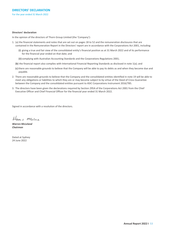## **Directors' declaration**

In the opinion of the directors of Thorn Group Limited (the 'Company'):

- 1. (a) the financial statements and notes that are set out on pages 18 to 52 and the remuneration disclosures that are contained in the Remuneration Report in the Directors' report are in accordance with the Corporations Act 2001, including:
	- (i) giving a true and fair view of the consolidated entity's financial position as at 31 March 2022 and of its performance for the financial year ended on that date; and
	- (ii) complying with Australian Accounting Standards and the Corporations Regulations 2001;
	- (b) the financial report also complies with International Financial Reporting Standards as disclosed in note 1(a); and
	- (c)there are reasonable grounds to believe that the Company will be able to pay its debts as and when they become due and payable.
- 2. There are reasonable grounds to believe that the Company and the consolidated entities identified in note 19 will be able to meet any obligations or liabilities to which they are or may become subject to by virtue of the Deed of Cross Guarantee between the Company and the consolidated entities pursuant to ASIC Corporations Instrument 2016/785.
- 3. The directors have been given the declarations required by Section 295A of the Corporations Act 2001 from the Chief Executive Officer and Chief Financial Officer for the financial year ended 31 March 2022.

Signed in accordance with a resolution of the directors.

Harry S M'Golca

*Warren McLeland Chairman*

Dated at Sydney 24 June 2022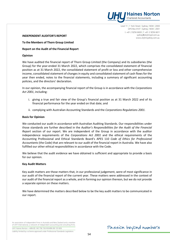**Haines Norton** Chartered Accountants

## **INDEPENDENT AUDITOR'S REPORT**

**To the Members of Thorn Group Limited** 

## **Report on the Audit of the Financial Report**

## **Opinion**

We have audited the financial report of Thorn Group Limited (the Company) and its subsidiaries (the Group) for the year-ended 31 March 2022, which comprises the consolidated statement of financial position as at 31 March 2022, the consolidated statement of profit or loss and other comprehensive income, consolidated statement of changes in equity and consolidated statement of cash flows for the year then ended, notes to the financial statements, including a summary of significant accounting policies, and the directors' declaration.

In our opinion, the accompanying financial report of the Group is in accordance with the *Corporations Act 2001*, including:

- i. giving a true and fair view of the Group's financial position as at 31 March 2022 and of its financial performance for the year ended on that date; and
- ii. complying with Australian Accounting Standards and the *Corporations Regulations 2001.*

## **Basis for Opinion**

We conducted our audit in accordance with Australian Auditing Standards. Our responsibilities under those standards are further described in the *Auditor's Responsibilities for the Audit of the Financial Report* section of our report. We are independent of the Group in accordance with the auditor independence requirements of the *Corporations Act 2001* and the ethical requirements of the Accounting Professional and Ethical Standards Board's APES 110 *Code of Ethics for Professional Accountants* (the Code) that are relevant to our audit of the financial report in Australia. We have also fulfilled our other ethical responsibilities in accordance with the Code.

We believe that the audit evidence we have obtained is sufficient and appropriate to provide a basis for our opinion.

## **Key Audit Matters**

Key audit matters are those matters that, in our professional judgement, were of most significance in our audit of the financial report of the current year. These matters were addressed in the context of our audit of the financial report as a whole, and in forming our opinion thereon, but we do not provide a separate opinion on these matters.

We have determined the matters described below to be the key audit matters to be communicated in our report.

An association of independent firms in Australia and New Zealand and a member of UHY International, a network of independent accounting and consulting firms.

Passion beyond numbers

UHY Haines Norton—ABN 85 140 758 156 NSWBN 98 133 826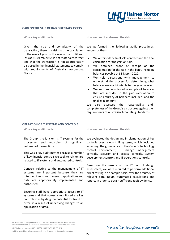## **GAIN ON THE SALE OF RADIO RENTALS ASSETS**

Given the size and complexity of the transaction, there is a risk that the calculation of the overall gain on the sale in the profit and loss at 31 March 2022, is not materially correct and that the transaction is not appropriately disclosed in the financial statements to comply with requirements of Australian Accounting Standards.

Why a key audit matter **How our audit addressed the risk How our audit addressed the risk** 

We performed the following audit procedures, amongst others:

- We obtained the final sale contract and the final calculation for the gain on sale.
- We obtained proof of receipt of the consideration for the sale in the bank, including balances payable at 31 March 2022.
- We held discussions with management to understand the process for determining what balances were attributable to the gain on sale.
- We substantively tested a sample of balances that are included in the gain calculation to ensure accuracy of balances included, and the final gain amount.

We also assessed the reasonability and completeness of the Group's disclosures against the requirements of Australian Accounting Standards.

## **OPERATION OF IT SYSTEMS AND CONTROLS**

Why a key audit matter **How our audit addressed the risk** 

The Group is reliant on its IT systems for the processing and recording of significant volumes of transactions.

This was a key audit matter because a number of key financial controls we seek to rely on are related to IT systems and automated controls.

Controls relating to the management of IT systems are important because they are intended to ensure changes to applications and data are appropriately implemented and authorised.

Ensuring staff have appropriate access to IT systems and that access is monitored are key controls in mitigating the potential for fraud or error as a result of underlying changes to an application or data.

We evaluated the design and implementation of key controls over relevant IT systems, which included assessing: the governance of the Group's technology control environment, IT change management controls, security and access controls, system development controls and IT operations controls.

Based on the results of our IT control design assessment, we were required to perform additional direct testing, on a sample basis, over the accuracy of relevant data inputs, automated calculations and reports in order to obtain sufficient audit evidence.

An association of independent firms in Australia and New Zealand and a member of UHY International, a network of independent accounting and consulting firms. UHY Haines Norton—ABN 85 140 758 156 NSWBN 98 133 826

Liability limited by a scheme approved under Professional Standards Legislation.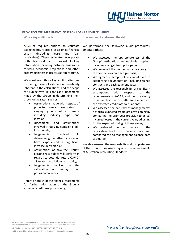

## **PROVISION FOR IMPAIRMENT LOSSES ON LOANS AND RECEIVABLES**

Why a key audit matter **How our audit addressed the risk** 

AASB 9 requires entities to estimate expected future credit losses on its financial assets (including lease and loan receivables). These estimates incorporate both historical and forward looking information, including historical loss rates, forward economic projections and other creditworthiness indicators as appropriate.

We considered this a key audit matter due to the high level of estimation uncertainty inherent in the calculations, and the scope for subjectivity in significant judgements made by the Group in determining their provisioning rates, such as:

- Assumptions made with respect of projected forward loss rates for varying groups of customers, including industry type and location;
- Judgements and assumptions involved in utilizing complex credit loss models;
- Judgements involved in determining whether customers have experienced a significant increase in credit risk;
- Assumptions of how the Group's existing receivables will perform in regards to potential future COVID-19 related restrictions on activity;
- Judgements involved in the calculation of overlays over provision balances;

Refer to note 14 of the financial statements for further information on the Group's expected credit loss provisioning.

We performed the following audit procedures, amongst others:

- We assessed the appropriateness of the Group's estimation methodologies applied, including changes from prior periods;
- We assessed the mathematical accuracy of the calculations on a sample basis;
- We agreed a sample of key input data to supporting documentation, including signed contracts and cash payment data;
- We assessed the reasonability of significant assumptions with respect to the requirements of AASB 9, and the consistency of assumptions across different elements of the expected credit loss calculations;
- We assessed the accuracy of management's historical expected credit loss provisioning by comparing the prior year provision to actual incurred losses in the current year, adjusting for the expected timing of these losses;
- We reviewed the performance of the receivables book post balance date and compared this to management balance date estimates;

We also assessed the reasonability and completeness of the Group's disclosures against the requirements of Australian Accounting Standards.

An association of independent firms in Australia and New Zealand and a member of UHY International, a network of independent accounting and consulting firms.

UHY Haines Norton—ABN 85 140 758 156 NSWBN 98 133 826 Liability limited by a scheme approved under Professional Standards Legislation.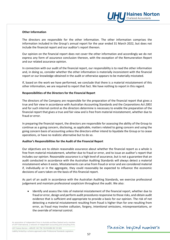## **Other Information**

The directors are responsible for the other information. The other information comprises the information included in the Group's annual report for the year ended 31 March 2022, but does not include the financial report and our auditor's report thereon.

Our opinion on the financial report does not cover the other information and accordingly we do not express any form of assurance conclusion thereon, with the exception of the Remuneration Report and our related assurance opinion.

In connection with our audit of the financial report, our responsibility is to read the other information and, in doing so, consider whether the other information is materially inconsistent with the financial report or our knowledge obtained in the audit or otherwise appears to be materially misstated.

If, based on the work we have performed, we conclude that there is a material misstatement of this other information, we are required to report that fact. We have nothing to report in this regard.

## **Responsibilities of the Directors for the Financial Report**

The directors of the Company are responsible for the preparation of the financial report that gives a true and fair view in accordance with Australian Accounting Standards and the *Corporations Act 2001* and for such internal control as the directors determine is necessary to enable the preparation of the financial report that gives a true and fair view and is free from material misstatement, whether due to fraud or error.

In preparing the financial report, the directors are responsible for assessing the ability of the Group to continue as a going concern, disclosing, as applicable, matters related to going concern and using the going concern basis of accounting unless the directors either intend to liquidate the Group or to cease operations, or have no realistic alternative but to do so.

## **Auditor's Responsibilities for the Audit of the Financial Report**

Our objectives are to obtain reasonable assurance about whether the financial report as a whole is free from material misstatement, whether due to fraud or error, and to issue an auditor's report that includes our opinion. Reasonable assurance is a high level of assurance, but is not a guarantee that an audit conducted in accordance with the Australian Auditing Standards will always detect a material misstatement when it exists. Misstatements can arise from fraud or error and are considered material if, individually or in the aggregate, they could reasonably be expected to influence the economic decisions of users taken on the basis of this financial report.

As part of an audit in accordance with the Australian Auditing Standards, we exercise professional judgement and maintain professional scepticism throughout the audit. We also:

• Identify and assess the risks of material misstatement of the financial report, whether due to fraud or error, design and perform audit procedures responsive to those risks, and obtain audit evidence that is sufficient and appropriate to provide a basis for our opinion. The risk of not detecting a material misstatement resulting from fraud is higher than for one resulting from error, as fraud may involve collusion, forgery, intentional omissions, misrepresentations, or the override of internal control.

An association of independent firms in Australia and New Zealand and a member of UHY International, a network of independent accounting and consulting firms. UHY Haines Norton—ABN 85 140 758 156 NSWBN 98 133 826

Liability limited by a scheme approved under Professional Standards Legislation.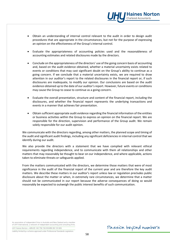

- Evaluate the appropriateness of accounting policies used and the reasonableness of accounting estimates and related disclosures made by the directors.
- Conclude on the appropriateness of the directors' use of the going concern basis of accounting and, based on the audit evidence obtained, whether a material uncertainty exists related to events or conditions that may cast significant doubt on the Group's ability to continue as a going concern. If we conclude that a material uncertainty exists, we are required to draw attention in our auditor's report to the related disclosures in the financial report or, if such disclosures are inadequate, to modify our opinion. Our conclusions are based on the audit evidence obtained up to the date of our auditor's report. However, future events or conditions may cause the Group to cease to continue as a going concern.
- Evaluate the overall presentation, structure and content of the financial report, including the disclosures, and whether the financial report represents the underlying transactions and events in a manner that achieves fair presentation.
- Obtain sufficient appropriate audit evidence regarding the financial information of the entities or business activities within the Group to express an opinion on the financial report. We are responsible for the direction, supervision and performance of the Group audit. We remain solely responsible for our audit opinion.

We communicate with the directors regarding, among other matters, the planned scope and timing of the audit and significant audit findings, including any significant deficiencies in internal control that we identify during our audit.

We also provide the directors with a statement that we have complied with relevant ethical requirements regarding independence, and to communicate with them all relationships and other matters that may reasonably be thought to bear on our independence, and where applicable, actions taken to eliminate threats or safeguards applied.

From the matters communicated with the directors, we determine those matters that were of most significance in the audit of the financial report of the current year and are therefore the key audit matters. We describe these matters in our auditor's report unless law or regulation precludes public disclosure about the matter or when, in extremely rare circumstances, we determine that a matter should not be communicated in our report because the adverse consequences of doing so would reasonably be expected to outweigh the public interest benefits of such communication.

An association of independent firms in Australia and New Zealand and a member of UHY International, a network of independent accounting and consulting firms.

Passion beyond numbers

**Haines Norton** Chartered Accountants

Liability limited by a scheme approved under Professional Standards Legislation.

UHY Haines Norton—ABN 85 140 758 156 NSWBN 98 133 826